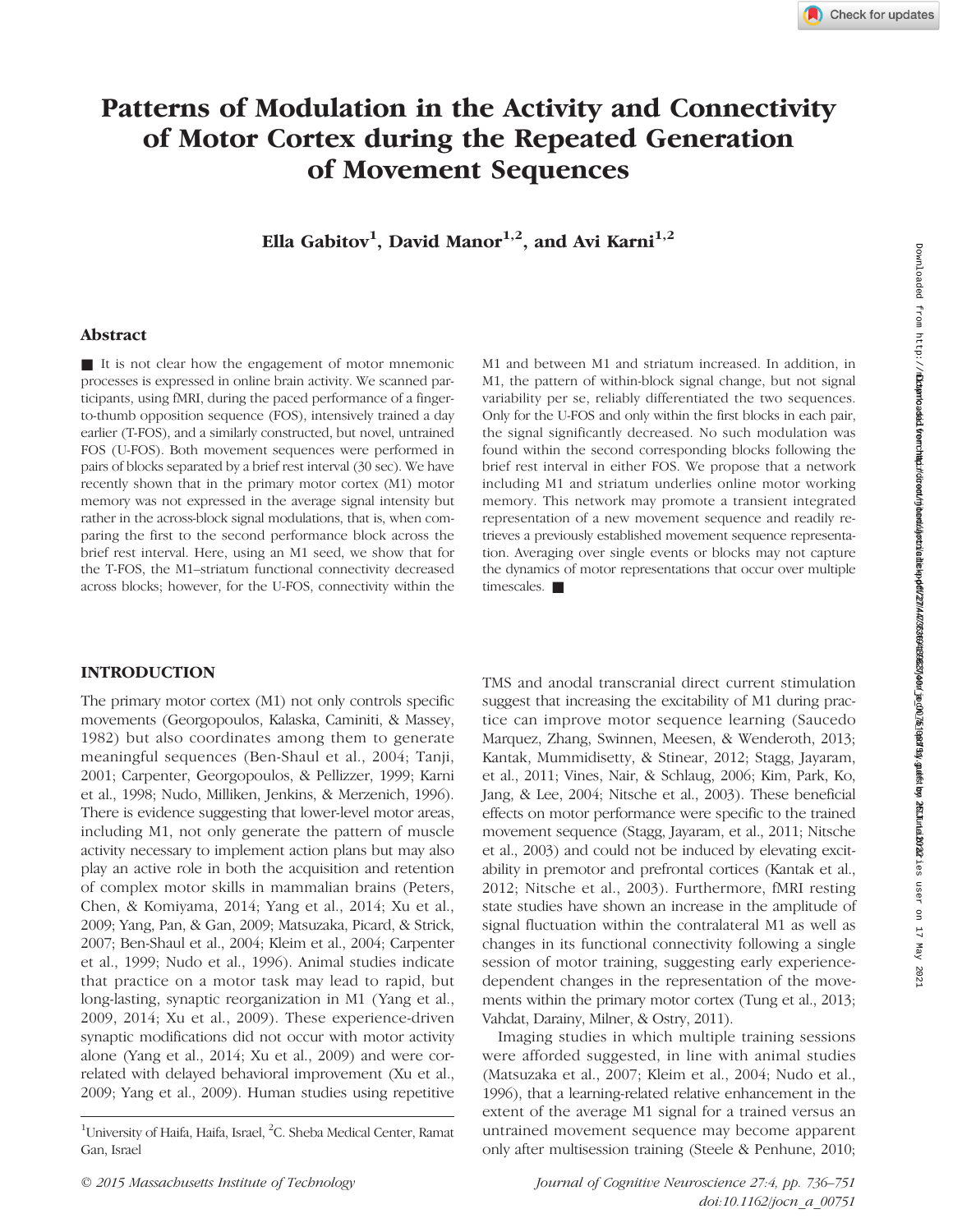# Patterns of Modulation in the Activity and Connectivity of Motor Cortex during the Repeated Generation of Movement Sequences

Ella Gabitov<sup>1</sup>, David Manor<sup>1,2</sup>, and Avi Karni<sup>1,2</sup>

# Abstract

■ It is not clear how the engagement of motor mnemonic processes is expressed in online brain activity. We scanned participants, using fMRI, during the paced performance of a fingerto-thumb opposition sequence (FOS), intensively trained a day earlier (T-FOS), and a similarly constructed, but novel, untrained FOS (U-FOS). Both movement sequences were performed in pairs of blocks separated by a brief rest interval (30 sec). We have recently shown that in the primary motor cortex (M1) motor memory was not expressed in the average signal intensity but rather in the across-block signal modulations, that is, when comparing the first to the second performance block across the brief rest interval. Here, using an M1 seed, we show that for the T-FOS, the M1–striatum functional connectivity decreased across blocks; however, for the U-FOS, connectivity within the

# M1 and between M1 and striatum increased. In addition, in M1, the pattern of within-block signal change, but not signal variability per se, reliably differentiated the two sequences. Only for the U-FOS and only within the first blocks in each pair, the signal significantly decreased. No such modulation was found within the second corresponding blocks following the brief rest interval in either FOS. We propose that a network including M1 and striatum underlies online motor working memory. This network may promote a transient integrated representation of a new movement sequence and readily retrieves a previously established movement sequence representation. Averaging over single events or blocks may not capture the dynamics of motor representations that occur over multiple timescales. ■

# INTRODUCTION

The primary motor cortex (M1) not only controls specific movements (Georgopoulos, Kalaska, Caminiti, & Massey, 1982) but also coordinates among them to generate meaningful sequences (Ben-Shaul et al., 2004; Tanji, 2001; Carpenter, Georgopoulos, & Pellizzer, 1999; Karni et al., 1998; Nudo, Milliken, Jenkins, & Merzenich, 1996). There is evidence suggesting that lower-level motor areas, including M1, not only generate the pattern of muscle activity necessary to implement action plans but may also play an active role in both the acquisition and retention of complex motor skills in mammalian brains (Peters, Chen, & Komiyama, 2014; Yang et al., 2014; Xu et al., 2009; Yang, Pan, & Gan, 2009; Matsuzaka, Picard, & Strick, 2007; Ben-Shaul et al., 2004; Kleim et al., 2004; Carpenter et al., 1999; Nudo et al., 1996). Animal studies indicate that practice on a motor task may lead to rapid, but long-lasting, synaptic reorganization in M1 (Yang et al., 2009, 2014; Xu et al., 2009). These experience-driven synaptic modifications did not occur with motor activity alone (Yang et al., 2014; Xu et al., 2009) and were correlated with delayed behavioral improvement (Xu et al., 2009; Yang et al., 2009). Human studies using repetitive

TMS and anodal transcranial direct current stimulation suggest that increasing the excitability of M1 during practice can improve motor sequence learning (Saucedo Marquez, Zhang, Swinnen, Meesen, & Wenderoth, 2013; Kantak, Mummidisetty, & Stinear, 2012; Stagg, Jayaram, et al., 2011; Vines, Nair, & Schlaug, 2006; Kim, Park, Ko, Jang, & Lee, 2004; Nitsche et al., 2003). These beneficial effects on motor performance were specific to the trained movement sequence (Stagg, Jayaram, et al., 2011; Nitsche et al., 2003) and could not be induced by elevating excitability in premotor and prefrontal cortices (Kantak et al., 2012; Nitsche et al., 2003). Furthermore, fMRI resting state studies have shown an increase in the amplitude of signal fluctuation within the contralateral M1 as well as changes in its functional connectivity following a single session of motor training, suggesting early experiencedependent changes in the representation of the movements within the primary motor cortex (Tung et al., 2013; Vahdat, Darainy, Milner, & Ostry, 2011).

Imaging studies in which multiple training sessions were afforded suggested, in line with animal studies (Matsuzaka et al., 2007; Kleim et al., 2004; Nudo et al., 1996), that a learning-related relative enhancement in the extent of the average M1 signal for a trained versus an untrained movement sequence may become apparent only after multisession training (Steele & Penhune, 2010; Down10add11/http://**/http:///pdaded1eerhap/ighted/njeed/jpdadaja/add12/4/2631901/add12/202010001/add12/add12/add12/add12/add12/add12/add12/add12/add12/add12/add12/add12/add12/add12/add12/add12/add12/add12/add12/add12/add12** 

<sup>&</sup>lt;sup>1</sup>University of Haifa, Haifa, Israel, <sup>2</sup>C. Sheba Medical Center, Ramat Gan, Israel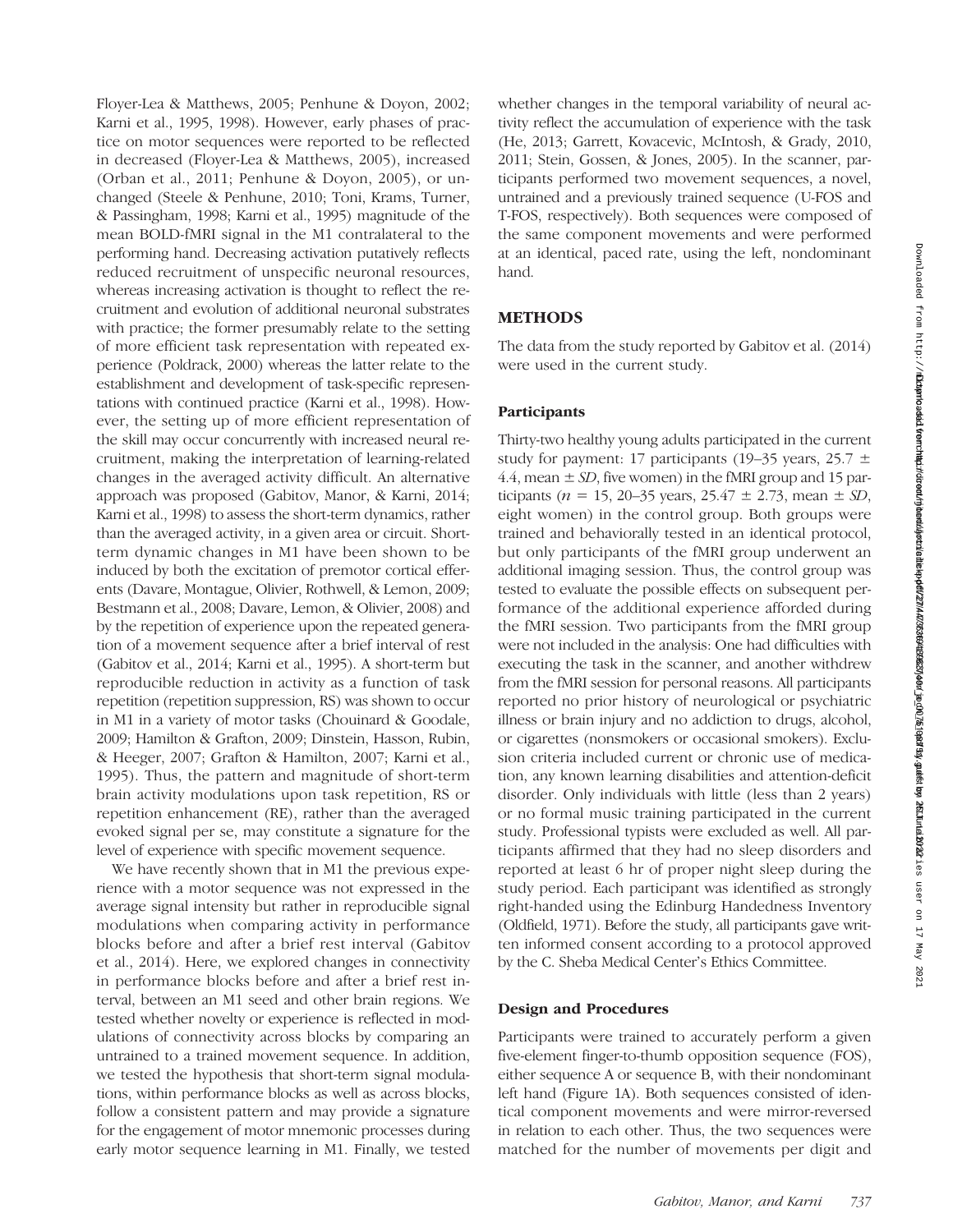Floyer-Lea & Matthews, 2005; Penhune & Doyon, 2002; Karni et al., 1995, 1998). However, early phases of practice on motor sequences were reported to be reflected in decreased (Floyer-Lea & Matthews, 2005), increased (Orban et al., 2011; Penhune & Doyon, 2005), or unchanged (Steele & Penhune, 2010; Toni, Krams, Turner, & Passingham, 1998; Karni et al., 1995) magnitude of the mean BOLD-fMRI signal in the M1 contralateral to the performing hand. Decreasing activation putatively reflects reduced recruitment of unspecific neuronal resources, whereas increasing activation is thought to reflect the recruitment and evolution of additional neuronal substrates with practice; the former presumably relate to the setting of more efficient task representation with repeated experience (Poldrack, 2000) whereas the latter relate to the establishment and development of task-specific representations with continued practice (Karni et al., 1998). However, the setting up of more efficient representation of the skill may occur concurrently with increased neural recruitment, making the interpretation of learning-related changes in the averaged activity difficult. An alternative approach was proposed (Gabitov, Manor, & Karni, 2014; Karni et al., 1998) to assess the short-term dynamics, rather than the averaged activity, in a given area or circuit. Shortterm dynamic changes in M1 have been shown to be induced by both the excitation of premotor cortical efferents (Davare, Montague, Olivier, Rothwell, & Lemon, 2009; Bestmann et al., 2008; Davare, Lemon, & Olivier, 2008) and by the repetition of experience upon the repeated generation of a movement sequence after a brief interval of rest (Gabitov et al., 2014; Karni et al., 1995). A short-term but reproducible reduction in activity as a function of task repetition (repetition suppression, RS) was shown to occur in M1 in a variety of motor tasks (Chouinard & Goodale, 2009; Hamilton & Grafton, 2009; Dinstein, Hasson, Rubin, & Heeger, 2007; Grafton & Hamilton, 2007; Karni et al., 1995). Thus, the pattern and magnitude of short-term brain activity modulations upon task repetition, RS or repetition enhancement (RE), rather than the averaged evoked signal per se, may constitute a signature for the level of experience with specific movement sequence.

We have recently shown that in M1 the previous experience with a motor sequence was not expressed in the average signal intensity but rather in reproducible signal modulations when comparing activity in performance blocks before and after a brief rest interval (Gabitov et al., 2014). Here, we explored changes in connectivity in performance blocks before and after a brief rest interval, between an M1 seed and other brain regions. We tested whether novelty or experience is reflected in modulations of connectivity across blocks by comparing an untrained to a trained movement sequence. In addition, we tested the hypothesis that short-term signal modulations, within performance blocks as well as across blocks, follow a consistent pattern and may provide a signature for the engagement of motor mnemonic processes during early motor sequence learning in M1. Finally, we tested

whether changes in the temporal variability of neural activity reflect the accumulation of experience with the task (He, 2013; Garrett, Kovacevic, McIntosh, & Grady, 2010, 2011; Stein, Gossen, & Jones, 2005). In the scanner, participants performed two movement sequences, a novel, untrained and a previously trained sequence (U-FOS and T-FOS, respectively). Both sequences were composed of the same component movements and were performed at an identical, paced rate, using the left, nondominant hand.

# **METHODS**

The data from the study reported by Gabitov et al. (2014) were used in the current study.

# **Participants**

Thirty-two healthy young adults participated in the current study for payment: 17 participants (19–35 years, 25.7  $\pm$ 4.4, mean  $\pm$  SD, five women) in the fMRI group and 15 participants ( $n = 15$ , 20–35 years, 25.47  $\pm$  2.73, mean  $\pm$  SD, eight women) in the control group. Both groups were trained and behaviorally tested in an identical protocol, but only participants of the fMRI group underwent an additional imaging session. Thus, the control group was tested to evaluate the possible effects on subsequent performance of the additional experience afforded during the fMRI session. Two participants from the fMRI group were not included in the analysis: One had difficulties with executing the task in the scanner, and another withdrew from the fMRI session for personal reasons. All participants reported no prior history of neurological or psychiatric illness or brain injury and no addiction to drugs, alcohol, or cigarettes (nonsmokers or occasional smokers). Exclusion criteria included current or chronic use of medication, any known learning disabilities and attention-deficit disorder. Only individuals with little (less than 2 years) or no formal music training participated in the current study. Professional typists were excluded as well. All participants affirmed that they had no sleep disorders and reported at least 6 hr of proper night sleep during the study period. Each participant was identified as strongly right-handed using the Edinburg Handedness Inventory (Oldfield, 1971). Before the study, all participants gave written informed consent according to a protocol approved by the C. Sheba Medical Center's Ethics Committee.

#### Design and Procedures

Participants were trained to accurately perform a given five-element finger-to-thumb opposition sequence (FOS), either sequence A or sequence B, with their nondominant left hand (Figure 1A). Both sequences consisted of identical component movements and were mirror-reversed in relation to each other. Thus, the two sequences were matched for the number of movements per digit and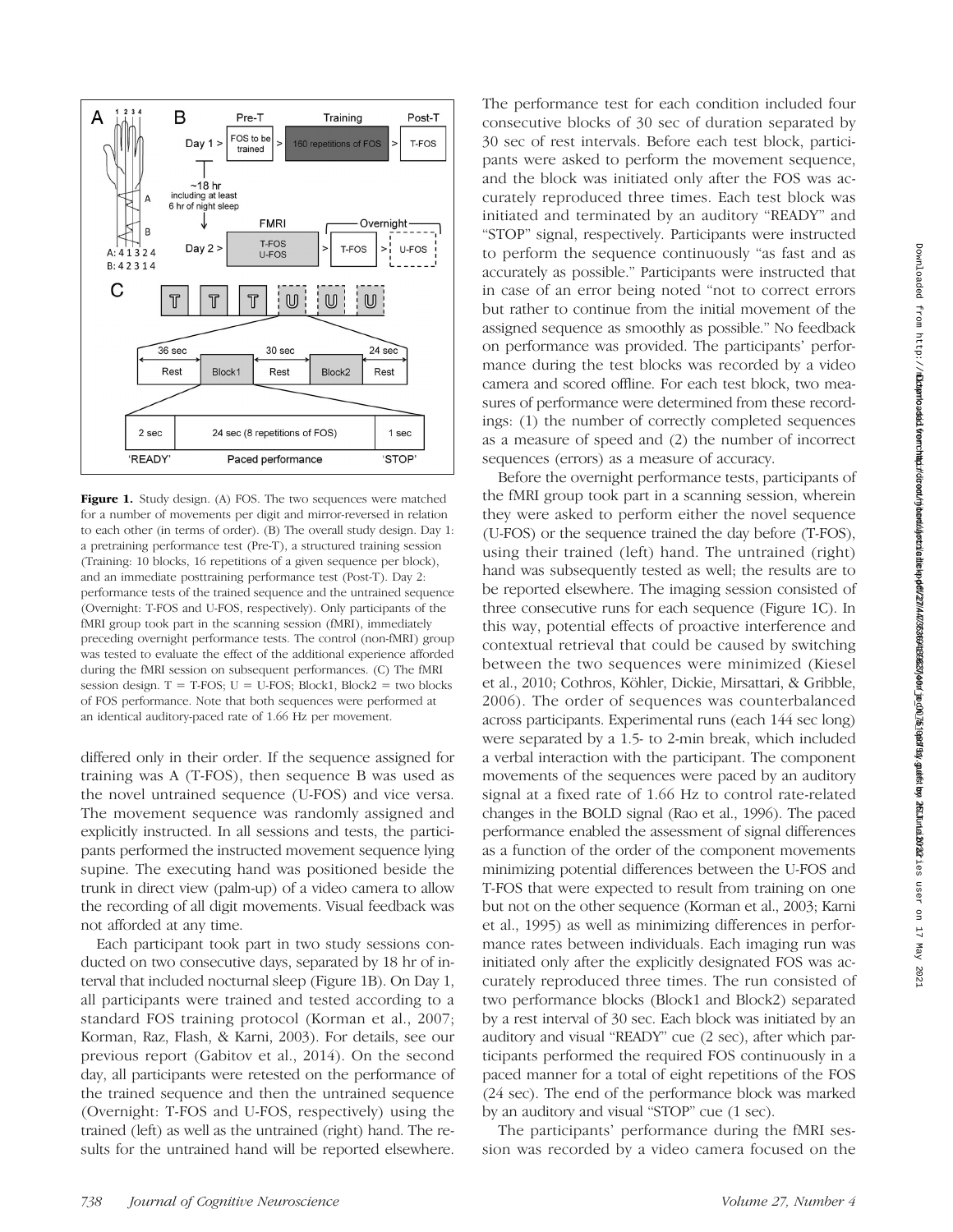

Figure 1. Study design. (A) FOS. The two sequences were matched for a number of movements per digit and mirror-reversed in relation to each other (in terms of order). (B) The overall study design. Day 1: a pretraining performance test (Pre-T), a structured training session (Training: 10 blocks, 16 repetitions of a given sequence per block), and an immediate posttraining performance test (Post-T). Day 2: performance tests of the trained sequence and the untrained sequence (Overnight: T-FOS and U-FOS, respectively). Only participants of the fMRI group took part in the scanning session (fMRI), immediately preceding overnight performance tests. The control (non-fMRI) group was tested to evaluate the effect of the additional experience afforded during the fMRI session on subsequent performances. (C) The fMRI session design.  $T = T-FOS$ ;  $U = U-FOS$ ; Block1, Block2 = two blocks of FOS performance. Note that both sequences were performed at an identical auditory-paced rate of 1.66 Hz per movement.

differed only in their order. If the sequence assigned for training was A (T-FOS), then sequence B was used as the novel untrained sequence (U-FOS) and vice versa. The movement sequence was randomly assigned and explicitly instructed. In all sessions and tests, the participants performed the instructed movement sequence lying supine. The executing hand was positioned beside the trunk in direct view (palm-up) of a video camera to allow the recording of all digit movements. Visual feedback was not afforded at any time.

Each participant took part in two study sessions conducted on two consecutive days, separated by 18 hr of interval that included nocturnal sleep (Figure 1B). On Day 1, all participants were trained and tested according to a standard FOS training protocol (Korman et al., 2007; Korman, Raz, Flash, & Karni, 2003). For details, see our previous report (Gabitov et al., 2014). On the second day, all participants were retested on the performance of the trained sequence and then the untrained sequence (Overnight: T-FOS and U-FOS, respectively) using the trained (left) as well as the untrained (right) hand. The results for the untrained hand will be reported elsewhere.

The performance test for each condition included four consecutive blocks of 30 sec of duration separated by 30 sec of rest intervals. Before each test block, participants were asked to perform the movement sequence, and the block was initiated only after the FOS was accurately reproduced three times. Each test block was initiated and terminated by an auditory "READY" and "STOP" signal, respectively. Participants were instructed to perform the sequence continuously "as fast and as accurately as possible." Participants were instructed that in case of an error being noted "not to correct errors but rather to continue from the initial movement of the assigned sequence as smoothly as possible." No feedback on performance was provided. The participants' performance during the test blocks was recorded by a video camera and scored offline. For each test block, two measures of performance were determined from these recordings: (1) the number of correctly completed sequences as a measure of speed and (2) the number of incorrect sequences (errors) as a measure of accuracy.

Before the overnight performance tests, participants of the fMRI group took part in a scanning session, wherein they were asked to perform either the novel sequence (U-FOS) or the sequence trained the day before (T-FOS), using their trained (left) hand. The untrained (right) hand was subsequently tested as well; the results are to be reported elsewhere. The imaging session consisted of three consecutive runs for each sequence (Figure 1C). In this way, potential effects of proactive interference and contextual retrieval that could be caused by switching between the two sequences were minimized (Kiesel et al., 2010; Cothros, Köhler, Dickie, Mirsattari, & Gribble, 2006). The order of sequences was counterbalanced across participants. Experimental runs (each 144 sec long) were separated by a 1.5- to 2-min break, which included a verbal interaction with the participant. The component movements of the sequences were paced by an auditory signal at a fixed rate of 1.66 Hz to control rate-related changes in the BOLD signal (Rao et al., 1996). The paced performance enabled the assessment of signal differences as a function of the order of the component movements minimizing potential differences between the U-FOS and T-FOS that were expected to result from training on one but not on the other sequence (Korman et al., 2003; Karni et al., 1995) as well as minimizing differences in performance rates between individuals. Each imaging run was initiated only after the explicitly designated FOS was accurately reproduced three times. The run consisted of two performance blocks (Block1 and Block2) separated by a rest interval of 30 sec. Each block was initiated by an auditory and visual "READY" cue (2 sec), after which participants performed the required FOS continuously in a paced manner for a total of eight repetitions of the FOS (24 sec). The end of the performance block was marked by an auditory and visual "STOP" cue (1 sec).

The participants' performance during the fMRI session was recorded by a video camera focused on the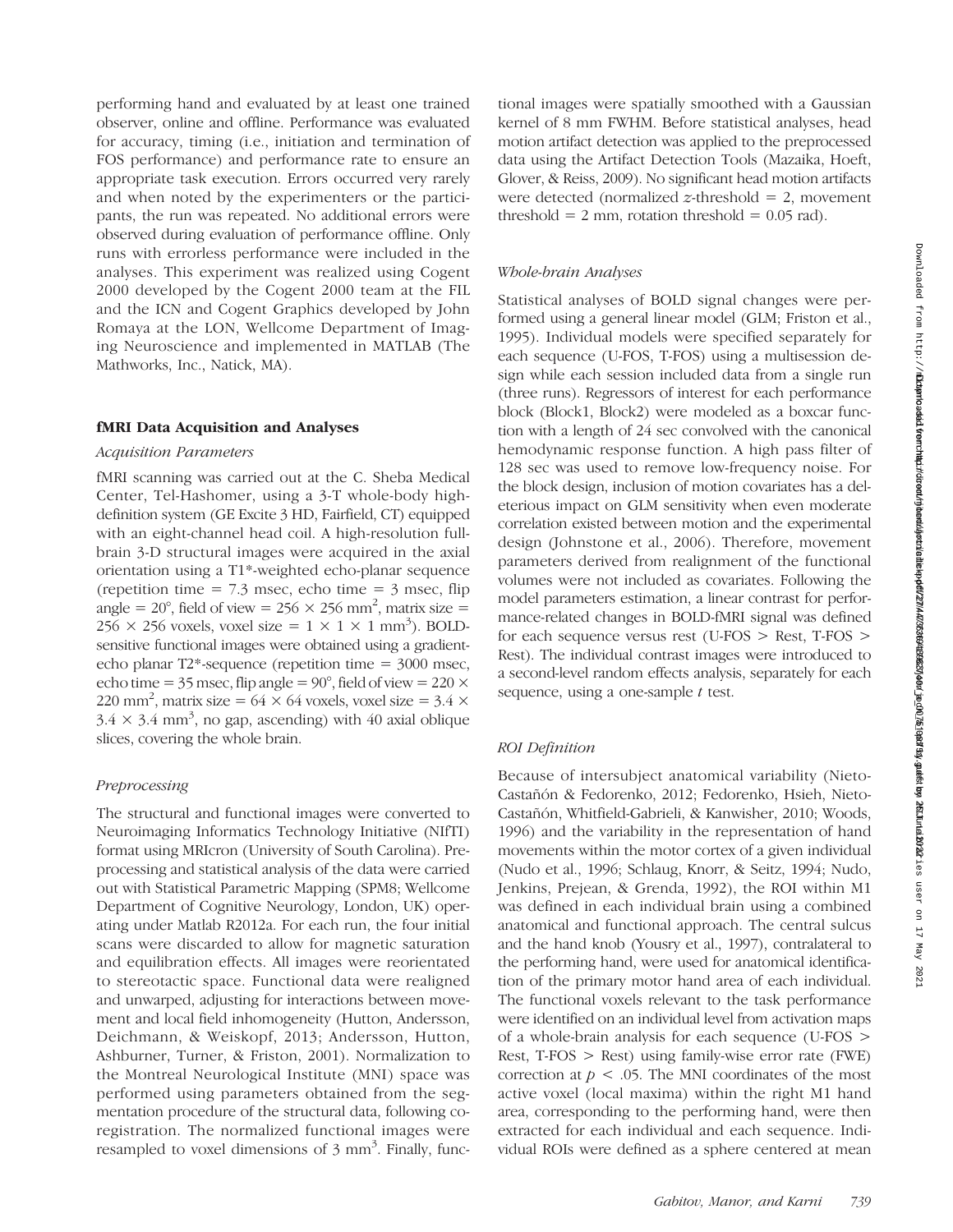performing hand and evaluated by at least one trained observer, online and offline. Performance was evaluated for accuracy, timing (i.e., initiation and termination of FOS performance) and performance rate to ensure an appropriate task execution. Errors occurred very rarely and when noted by the experimenters or the participants, the run was repeated. No additional errors were observed during evaluation of performance offline. Only runs with errorless performance were included in the analyses. This experiment was realized using Cogent 2000 developed by the Cogent 2000 team at the FIL and the ICN and Cogent Graphics developed by John Romaya at the LON, Wellcome Department of Imaging Neuroscience and implemented in MATLAB (The Mathworks, Inc., Natick, MA).

# fMRI Data Acquisition and Analyses

# Acquisition Parameters

fMRI scanning was carried out at the C. Sheba Medical Center, Tel-Hashomer, using a 3-T whole-body highdefinition system (GE Excite 3 HD, Fairfield, CT) equipped with an eight-channel head coil. A high-resolution fullbrain 3-D structural images were acquired in the axial orientation using a T1\*-weighted echo-planar sequence (repetition time  $= 7.3$  msec, echo time  $= 3$  msec, flip angle = 20°, field of view = 256  $\times$  256 mm<sup>2</sup>, matrix size =  $256 \times 256$  voxels, voxel size =  $1 \times 1 \times 1$  mm<sup>3</sup>). BOLDsensitive functional images were obtained using a gradientecho planar T2\*-sequence (repetition time = 3000 msec, echo time =  $35$  msec, flip angle =  $90^{\circ}$ , field of view =  $220 \times$ 220 mm<sup>2</sup>, matrix size =  $64 \times 64$  voxels, voxel size =  $3.4 \times$  $3.4 \times 3.4$  mm<sup>3</sup>, no gap, ascending) with 40 axial oblique slices, covering the whole brain.

# Preprocessing

The structural and functional images were converted to Neuroimaging Informatics Technology Initiative (NIfTI) format using MRIcron (University of South Carolina). Preprocessing and statistical analysis of the data were carried out with Statistical Parametric Mapping (SPM8; Wellcome Department of Cognitive Neurology, London, UK) operating under Matlab R2012a. For each run, the four initial scans were discarded to allow for magnetic saturation and equilibration effects. All images were reorientated to stereotactic space. Functional data were realigned and unwarped, adjusting for interactions between movement and local field inhomogeneity (Hutton, Andersson, Deichmann, & Weiskopf, 2013; Andersson, Hutton, Ashburner, Turner, & Friston, 2001). Normalization to the Montreal Neurological Institute (MNI) space was performed using parameters obtained from the segmentation procedure of the structural data, following coregistration. The normalized functional images were resampled to voxel dimensions of  $3 \text{ mm}^3$ . Finally, func-

tional images were spatially smoothed with a Gaussian kernel of 8 mm FWHM. Before statistical analyses, head motion artifact detection was applied to the preprocessed data using the Artifact Detection Tools (Mazaika, Hoeft, Glover, & Reiss, 2009). No significant head motion artifacts were detected (normalized  $z$ -threshold = 2, movement threshold  $= 2$  mm, rotation threshold  $= 0.05$  rad).

# Whole-brain Analyses

Statistical analyses of BOLD signal changes were performed using a general linear model (GLM; Friston et al., 1995). Individual models were specified separately for each sequence (U-FOS, T-FOS) using a multisession design while each session included data from a single run (three runs). Regressors of interest for each performance block (Block1, Block2) were modeled as a boxcar function with a length of 24 sec convolved with the canonical hemodynamic response function. A high pass filter of 128 sec was used to remove low-frequency noise. For the block design, inclusion of motion covariates has a deleterious impact on GLM sensitivity when even moderate correlation existed between motion and the experimental design (Johnstone et al., 2006). Therefore, movement parameters derived from realignment of the functional volumes were not included as covariates. Following the model parameters estimation, a linear contrast for performance-related changes in BOLD-fMRI signal was defined for each sequence versus rest (U-FOS > Rest, T-FOS > Rest). The individual contrast images were introduced to a second-level random effects analysis, separately for each sequence, using a one-sample  $t$  test.

# ROI Definition

Because of intersubject anatomical variability (Nieto-Castañón & Fedorenko, 2012; Fedorenko, Hsieh, Nieto-Castañón, Whitfield-Gabrieli, & Kanwisher, 2010; Woods, 1996) and the variability in the representation of hand movements within the motor cortex of a given individual (Nudo et al., 1996; Schlaug, Knorr, & Seitz, 1994; Nudo, Jenkins, Prejean, & Grenda, 1992), the ROI within M1 was defined in each individual brain using a combined anatomical and functional approach. The central sulcus and the hand knob (Yousry et al., 1997), contralateral to the performing hand, were used for anatomical identification of the primary motor hand area of each individual. The functional voxels relevant to the task performance were identified on an individual level from activation maps of a whole-brain analysis for each sequence (U-FOS > Rest,  $T-FOS >$  Rest) using family-wise error rate (FWE) correction at  $p < 0.05$ . The MNI coordinates of the most active voxel (local maxima) within the right M1 hand area, corresponding to the performing hand, were then extracted for each individual and each sequence. Individual ROIs were defined as a sphere centered at mean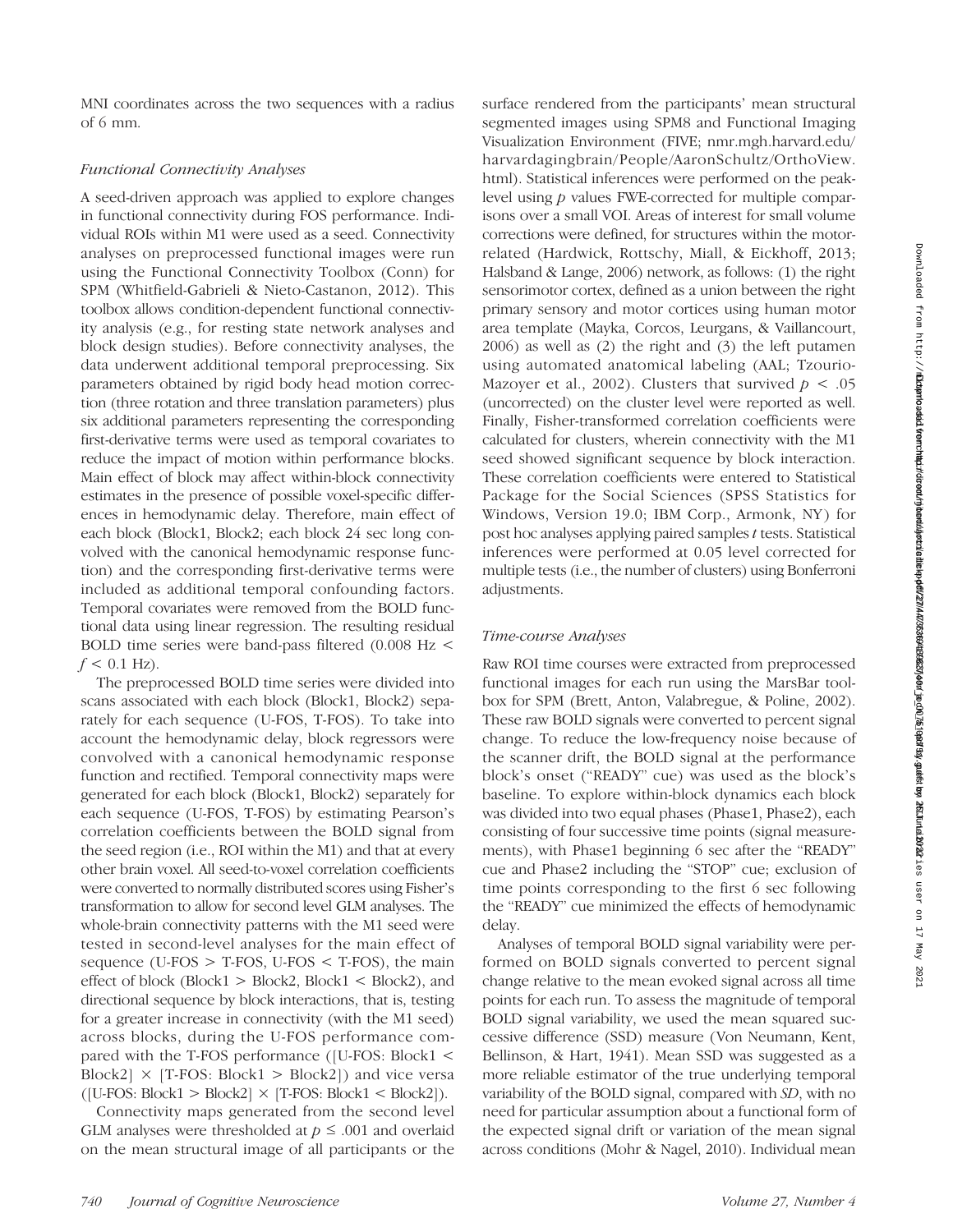MNI coordinates across the two sequences with a radius of 6 mm.

# Functional Connectivity Analyses

A seed-driven approach was applied to explore changes in functional connectivity during FOS performance. Individual ROIs within M1 were used as a seed. Connectivity analyses on preprocessed functional images were run using the Functional Connectivity Toolbox (Conn) for SPM (Whitfield-Gabrieli & Nieto-Castanon, 2012). This toolbox allows condition-dependent functional connectivity analysis (e.g., for resting state network analyses and block design studies). Before connectivity analyses, the data underwent additional temporal preprocessing. Six parameters obtained by rigid body head motion correction (three rotation and three translation parameters) plus six additional parameters representing the corresponding first-derivative terms were used as temporal covariates to reduce the impact of motion within performance blocks. Main effect of block may affect within-block connectivity estimates in the presence of possible voxel-specific differences in hemodynamic delay. Therefore, main effect of each block (Block1, Block2; each block 24 sec long convolved with the canonical hemodynamic response function) and the corresponding first-derivative terms were included as additional temporal confounding factors. Temporal covariates were removed from the BOLD functional data using linear regression. The resulting residual BOLD time series were band-pass filtered (0.008 Hz <  $f < 0.1$  Hz).

The preprocessed BOLD time series were divided into scans associated with each block (Block1, Block2) separately for each sequence (U-FOS, T-FOS). To take into account the hemodynamic delay, block regressors were convolved with a canonical hemodynamic response function and rectified. Temporal connectivity maps were generated for each block (Block1, Block2) separately for each sequence (U-FOS, T-FOS) by estimating Pearson's correlation coefficients between the BOLD signal from the seed region (i.e., ROI within the M1) and that at every other brain voxel. All seed-to-voxel correlation coefficients were converted to normally distributed scores using Fisher's transformation to allow for second level GLM analyses. The whole-brain connectivity patterns with the M1 seed were tested in second-level analyses for the main effect of sequence (U-FOS  $>$  T-FOS, U-FOS  $<$  T-FOS), the main effect of block (Block1  $>$  Block2, Block1  $<$  Block2), and directional sequence by block interactions, that is, testing for a greater increase in connectivity (with the M1 seed) across blocks, during the U-FOS performance compared with the T-FOS performance ([U-FOS: Block1 < Block2]  $\times$  [T-FOS: Block1  $>$  Block2]) and vice versa  $([U\text{-}FOS: Block1 > Block2] \times [T\text{-}FOS: Block1 < Block2]).$ 

Connectivity maps generated from the second level GLM analyses were thresholded at  $p \leq .001$  and overlaid on the mean structural image of all participants or the

surface rendered from the participants' mean structural segmented images using SPM8 and Functional Imaging Visualization Environment (FIVE; nmr.mgh.harvard.edu/ harvardagingbrain/People/AaronSchultz/OrthoView. html). Statistical inferences were performed on the peaklevel using p values FWE-corrected for multiple comparisons over a small VOI. Areas of interest for small volume corrections were defined, for structures within the motorrelated (Hardwick, Rottschy, Miall, & Eickhoff, 2013; Halsband & Lange, 2006) network, as follows: (1) the right sensorimotor cortex, defined as a union between the right primary sensory and motor cortices using human motor area template (Mayka, Corcos, Leurgans, & Vaillancourt, 2006) as well as (2) the right and (3) the left putamen using automated anatomical labeling (AAL; Tzourio-Mazoyer et al., 2002). Clusters that survived  $p < .05$ (uncorrected) on the cluster level were reported as well. Finally, Fisher-transformed correlation coefficients were calculated for clusters, wherein connectivity with the M1 seed showed significant sequence by block interaction. These correlation coefficients were entered to Statistical Package for the Social Sciences (SPSS Statistics for Windows, Version 19.0; IBM Corp., Armonk, NY ) for post hoc analyses applying paired samples t tests. Statistical inferences were performed at 0.05 level corrected for multiple tests (i.e., the number of clusters) using Bonferroni adjustments.

#### Time-course Analyses

Raw ROI time courses were extracted from preprocessed functional images for each run using the MarsBar toolbox for SPM (Brett, Anton, Valabregue, & Poline, 2002). These raw BOLD signals were converted to percent signal change. To reduce the low-frequency noise because of the scanner drift, the BOLD signal at the performance block's onset ("READY" cue) was used as the block's baseline. To explore within-block dynamics each block was divided into two equal phases (Phase1, Phase2), each consisting of four successive time points (signal measurements), with Phase1 beginning 6 sec after the "READY" cue and Phase2 including the "STOP" cue; exclusion of time points corresponding to the first 6 sec following the "READY" cue minimized the effects of hemodynamic delay.

Analyses of temporal BOLD signal variability were performed on BOLD signals converted to percent signal change relative to the mean evoked signal across all time points for each run. To assess the magnitude of temporal BOLD signal variability, we used the mean squared successive difference (SSD) measure (Von Neumann, Kent, Bellinson, & Hart, 1941). Mean SSD was suggested as a more reliable estimator of the true underlying temporal variability of the BOLD signal, compared with SD, with no need for particular assumption about a functional form of the expected signal drift or variation of the mean signal across conditions (Mohr & Nagel, 2010). Individual mean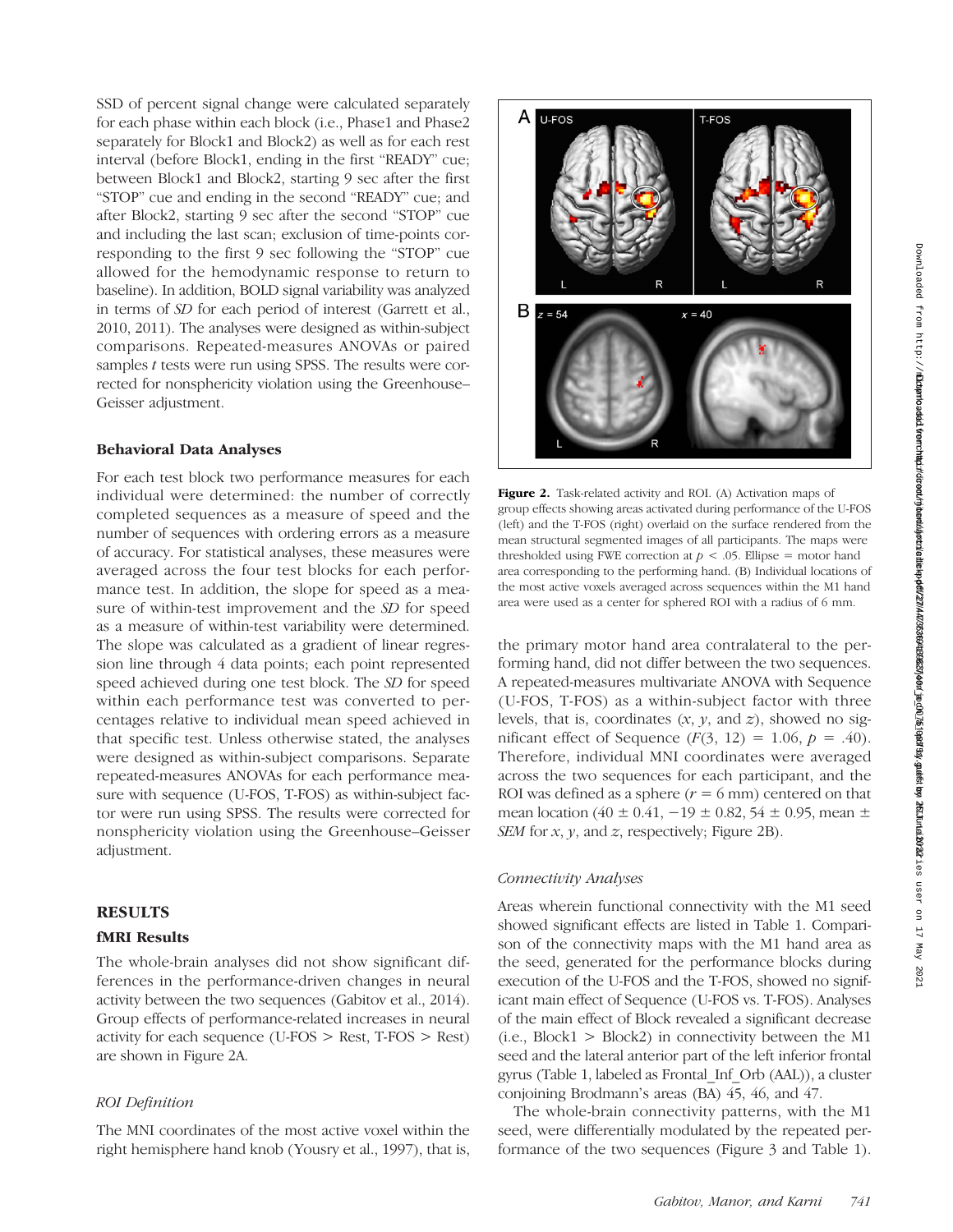SSD of percent signal change were calculated separately for each phase within each block (i.e., Phase1 and Phase2 separately for Block1 and Block2) as well as for each rest interval (before Block1, ending in the first "READY" cue; between Block1 and Block2, starting 9 sec after the first "STOP" cue and ending in the second "READY" cue; and after Block2, starting 9 sec after the second "STOP" cue and including the last scan; exclusion of time-points corresponding to the first 9 sec following the "STOP" cue allowed for the hemodynamic response to return to baseline). In addition, BOLD signal variability was analyzed in terms of SD for each period of interest (Garrett et al., 2010, 2011). The analyses were designed as within-subject comparisons. Repeated-measures ANOVAs or paired samples t tests were run using SPSS. The results were corrected for nonsphericity violation using the Greenhouse– Geisser adjustment.

## Behavioral Data Analyses

For each test block two performance measures for each individual were determined: the number of correctly completed sequences as a measure of speed and the number of sequences with ordering errors as a measure of accuracy. For statistical analyses, these measures were averaged across the four test blocks for each performance test. In addition, the slope for speed as a measure of within-test improvement and the SD for speed as a measure of within-test variability were determined. The slope was calculated as a gradient of linear regression line through 4 data points; each point represented speed achieved during one test block. The SD for speed within each performance test was converted to percentages relative to individual mean speed achieved in that specific test. Unless otherwise stated, the analyses were designed as within-subject comparisons. Separate repeated-measures ANOVAs for each performance measure with sequence (U-FOS, T-FOS) as within-subject factor were run using SPSS. The results were corrected for nonsphericity violation using the Greenhouse–Geisser adjustment.

# RESULTS

# fMRI Results

The whole-brain analyses did not show significant differences in the performance-driven changes in neural activity between the two sequences (Gabitov et al., 2014). Group effects of performance-related increases in neural activity for each sequence (U-FOS > Rest, T-FOS > Rest) are shown in Figure 2A.

## ROI Definition

The MNI coordinates of the most active voxel within the right hemisphere hand knob (Yousry et al., 1997), that is,



Figure 2. Task-related activity and ROI. (A) Activation maps of group effects showing areas activated during performance of the U-FOS (left) and the T-FOS (right) overlaid on the surface rendered from the mean structural segmented images of all participants. The maps were thresholded using FWE correction at  $p < .05$ . Ellipse = motor hand area corresponding to the performing hand. (B) Individual locations of the most active voxels averaged across sequences within the M1 hand area were used as a center for sphered ROI with a radius of 6 mm.

the primary motor hand area contralateral to the performing hand, did not differ between the two sequences. A repeated-measures multivariate ANOVA with Sequence (U-FOS, T-FOS) as a within-subject factor with three levels, that is, coordinates  $(x, y, \text{ and } z)$ , showed no significant effect of Sequence  $(F(3, 12) = 1.06, p = .40)$ . Therefore, individual MNI coordinates were averaged across the two sequences for each participant, and the ROI was defined as a sphere  $(r = 6$  mm) centered on that mean location (40 ± 0.41,  $-19 \pm 0.82$ , 54 ± 0.95, mean  $\pm$ SEM for  $x$ ,  $y$ , and  $z$ , respectively; Figure 2B).

#### Connectivity Analyses

Areas wherein functional connectivity with the M1 seed showed significant effects are listed in Table 1. Comparison of the connectivity maps with the M1 hand area as the seed, generated for the performance blocks during execution of the U-FOS and the T-FOS, showed no significant main effect of Sequence (U-FOS vs. T-FOS). Analyses of the main effect of Block revealed a significant decrease  $(i.e., Block1 > Block2)$  in connectivity between the M1 seed and the lateral anterior part of the left inferior frontal gyrus (Table 1, labeled as Frontal\_Inf\_Orb (AAL)), a cluster conjoining Brodmann's areas (BA) 45, 46, and 47.

The whole-brain connectivity patterns, with the M1 seed, were differentially modulated by the repeated performance of the two sequences (Figure 3 and Table 1).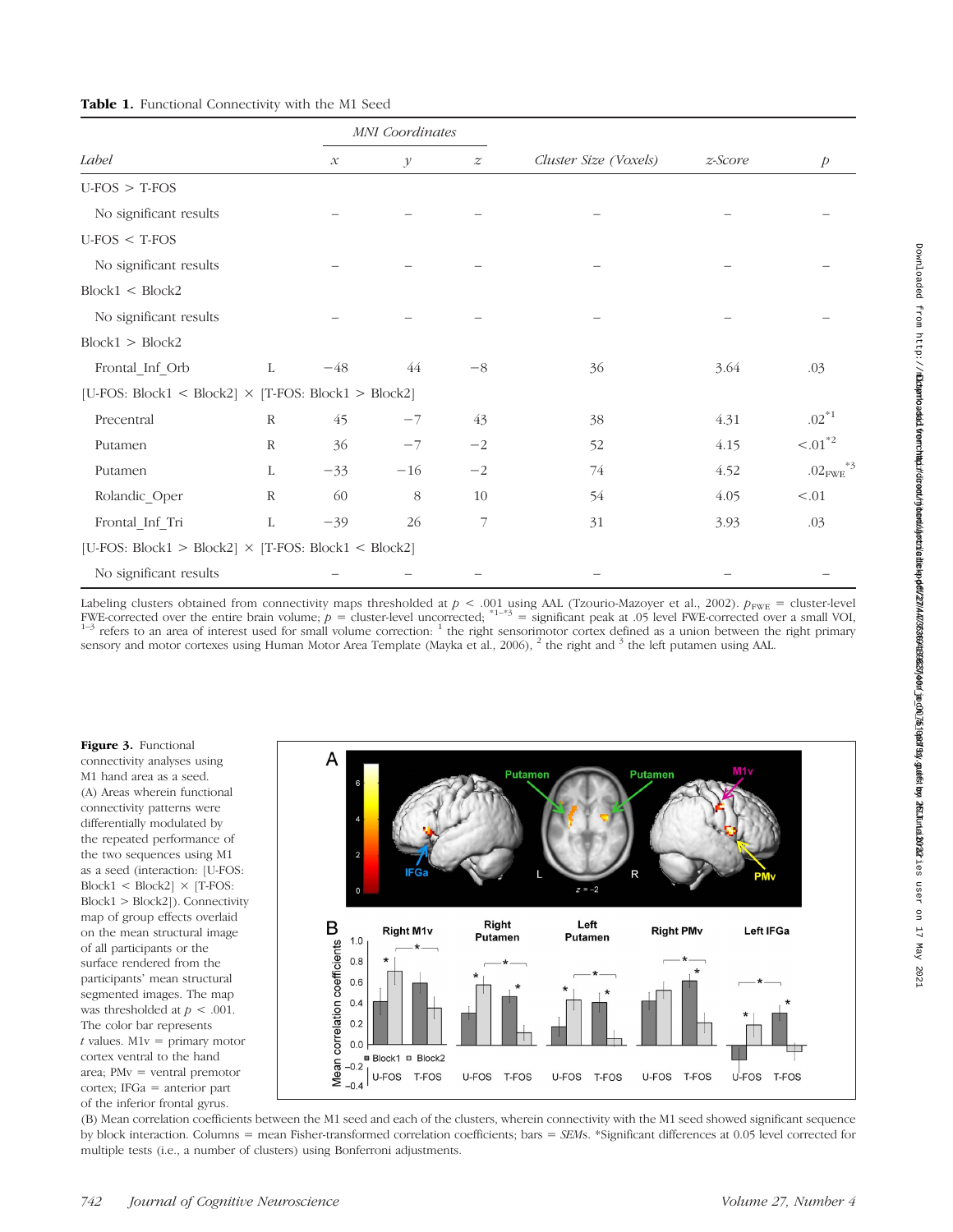|                                                            |              | <b>MNI</b> Coordinates |               |                  |                       |         |                                    |
|------------------------------------------------------------|--------------|------------------------|---------------|------------------|-----------------------|---------|------------------------------------|
| Label                                                      |              | $\mathcal{X}$          | $\mathcal{Y}$ | $\boldsymbol{z}$ | Cluster Size (Voxels) | z-Score | $\overline{p}$                     |
| $U-FOS > T-FOS$                                            |              |                        |               |                  |                       |         |                                    |
| No significant results                                     |              |                        |               |                  |                       |         |                                    |
| $U-FOS < T-FOS$                                            |              |                        |               |                  |                       |         |                                    |
| No significant results                                     |              |                        |               |                  |                       |         |                                    |
| Block1 < Block2                                            |              |                        |               |                  |                       |         |                                    |
| No significant results                                     |              |                        |               |                  |                       |         |                                    |
| Block1 > Block2                                            |              |                        |               |                  |                       |         |                                    |
| Frontal_Inf_Orb                                            | L            | $-48$                  | 44            | $-8\,$           | 36                    | 3.64    | .03                                |
| [U-FOS: Block1 < Block2] $\times$ [T-FOS: Block1 > Block2] |              |                        |               |                  |                       |         |                                    |
| Precentral                                                 | $\mathbb{R}$ | 45                     | $-7$          | 43               | 38                    | 4.31    | $.02^{*1}$                         |
| Putamen                                                    | R            | 36                     | $-7$          | $-2$             | 52                    | 4.15    | $-.01^{*2}$                        |
| Putamen                                                    | L            | $-33$                  | $-16$         | $-2$             | 74                    | 4.52    | $.02$ <sub>FWE</sub> <sup>*3</sup> |
| Rolandic_Oper                                              | $\mathbb{R}$ | 60                     | 8             | 10               | 54                    | 4.05    | < 0.01                             |
| Frontal_Inf_Tri                                            | L            | $-39$                  | 26            | 7                | 31                    | 3.93    | .03                                |
| [U-FOS: Block1 > Block2] $\times$ [T-FOS: Block1 < Block2] |              |                        |               |                  |                       |         |                                    |
| No significant results                                     |              |                        |               |                  |                       |         |                                    |

Labeling clusters obtained from connectivity maps thresholded at  $p < .001$  using AAL (Tzourio-Mazoyer et al., 2002).  $p_{\text{FWE}}$  = cluster-level<br>FWE-corrected over the entire brain volume;  $p =$  cluster-level uncorrected;  $^{$ sensory and motor cortexes using Human Motor Area Template (Mayka et al., 2006), <sup>2</sup> the right and <sup>3</sup> the left putamen using AAL.

Figure 3. Functional connectivity analyses using M1 hand area as a seed. (A) Areas wherein functional connectivity patterns were differentially modulated by the repeated performance of the two sequences using M1 as a seed (interaction: [U-FOS:  $Block1 < Block2] \times [T\text{-}FOS:$ Block1 > Block2]). Connectivity map of group effects overlaid on the mean structural image of all participants or the surface rendered from the participants' mean structural segmented images. The map was thresholded at  $p < .001$ . The color bar represents  $t$  values. M1 $v =$  primary motor cortex ventral to the hand area; PMv = ventral premotor cortex; IFGa = anterior part of the inferior frontal gyrus.



(B) Mean correlation coefficients between the M1 seed and each of the clusters, wherein connectivity with the M1 seed showed significant sequence by block interaction. Columns = mean Fisher-transformed correlation coefficients; bars = SEMs. \*Significant differences at 0.05 level corrected for multiple tests (i.e., a number of clusters) using Bonferroni adjustments.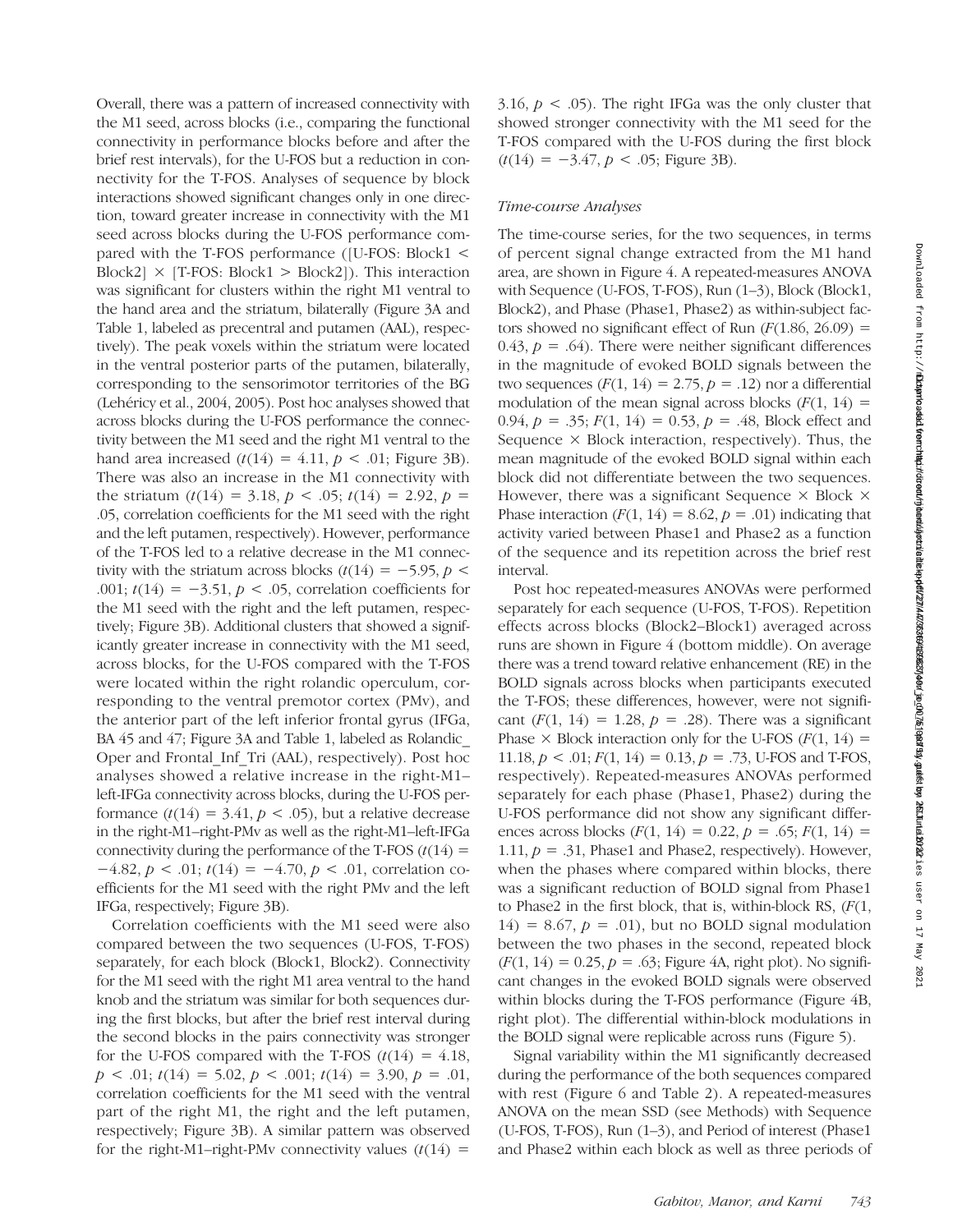Overall, there was a pattern of increased connectivity with the M1 seed, across blocks (i.e., comparing the functional connectivity in performance blocks before and after the brief rest intervals), for the U-FOS but a reduction in connectivity for the T-FOS. Analyses of sequence by block interactions showed significant changes only in one direction, toward greater increase in connectivity with the M1 seed across blocks during the U-FOS performance compared with the T-FOS performance ([U-FOS: Block1 < Block2]  $\times$  [T-FOS: Block1  $>$  Block2]). This interaction was significant for clusters within the right M1 ventral to the hand area and the striatum, bilaterally (Figure 3A and Table 1, labeled as precentral and putamen (AAL), respectively). The peak voxels within the striatum were located in the ventral posterior parts of the putamen, bilaterally, corresponding to the sensorimotor territories of the BG (Lehéricy et al., 2004, 2005). Post hoc analyses showed that across blocks during the U-FOS performance the connectivity between the M1 seed and the right M1 ventral to the hand area increased  $(t(14) = 4.11, p < .01$ ; Figure 3B). There was also an increase in the M1 connectivity with the striatum  $(t(14) = 3.18, p < .05; t(14) = 2.92, p =$ .05, correlation coefficients for the M1 seed with the right and the left putamen, respectively). However, performance of the T-FOS led to a relative decrease in the M1 connectivity with the striatum across blocks  $(t(14) = -5.95, p <$ .001;  $t(14) = -3.51$ ,  $p < .05$ , correlation coefficients for the M1 seed with the right and the left putamen, respectively; Figure 3B). Additional clusters that showed a significantly greater increase in connectivity with the M1 seed, across blocks, for the U-FOS compared with the T-FOS were located within the right rolandic operculum, corresponding to the ventral premotor cortex (PMv), and the anterior part of the left inferior frontal gyrus (IFGa, BA 45 and 47; Figure 3A and Table 1, labeled as Rolandic Oper and Frontal\_Inf\_Tri (AAL), respectively). Post hoc analyses showed a relative increase in the right-M1– left-IFGa connectivity across blocks, during the U-FOS performance  $(t(14) = 3.41, p < .05)$ , but a relative decrease in the right-M1–right-PMv as well as the right-M1–left-IFGa connectivity during the performance of the T-FOS  $(t(14) =$  $-4.82, p < .01; t(14) = -4.70, p < .01$ , correlation coefficients for the M1 seed with the right PMv and the left IFGa, respectively; Figure 3B). Correlation coefficients with the M1 seed were also

compared between the two sequences (U-FOS, T-FOS) separately, for each block (Block1, Block2). Connectivity for the M1 seed with the right M1 area ventral to the hand knob and the striatum was similar for both sequences during the first blocks, but after the brief rest interval during the second blocks in the pairs connectivity was stronger for the U-FOS compared with the T-FOS  $(t(14) = 4.18$ ,  $p < .01$ ;  $t(14) = 5.02$ ,  $p < .001$ ;  $t(14) = 3.90$ ,  $p = .01$ , correlation coefficients for the M1 seed with the ventral part of the right M1, the right and the left putamen, respectively; Figure 3B). A similar pattern was observed for the right-M1–right-PMv connectivity values  $(t(14)$  =

3.16,  $p < .05$ ). The right IFGa was the only cluster that showed stronger connectivity with the M1 seed for the T-FOS compared with the U-FOS during the first block  $(t(14) = -3.47, p < .05$ ; Figure 3B).

# Time-course Analyses

The time-course series, for the two sequences, in terms of percent signal change extracted from the M1 hand area, are shown in Figure 4. A repeated-measures ANOVA with Sequence (U-FOS, T-FOS), Run (1–3), Block (Block1, Block2), and Phase (Phase1, Phase2) as within-subject factors showed no significant effect of Run  $(F(1.86, 26.09)) =$ 0.43,  $p = .64$ ). There were neither significant differences in the magnitude of evoked BOLD signals between the two sequences  $(F(1, 14) = 2.75, p = .12)$  nor a differential modulation of the mean signal across blocks  $(F(1, 14))$  = 0.94,  $p = 0.35$ ;  $F(1, 14) = 0.53$ ,  $p = 0.48$ , Block effect and Sequence  $\times$  Block interaction, respectively). Thus, the mean magnitude of the evoked BOLD signal within each block did not differentiate between the two sequences. However, there was a significant Sequence  $\times$  Block  $\times$ Phase interaction  $(F(1, 14) = 8.62, p = .01)$  indicating that activity varied between Phase1 and Phase2 as a function of the sequence and its repetition across the brief rest interval.

Post hoc repeated-measures ANOVAs were performed separately for each sequence (U-FOS, T-FOS). Repetition effects across blocks (Block2–Block1) averaged across runs are shown in Figure 4 (bottom middle). On average there was a trend toward relative enhancement (RE) in the BOLD signals across blocks when participants executed the T-FOS; these differences, however, were not significant  $(F(1, 14) = 1.28, p = .28)$ . There was a significant Phase  $\times$  Block interaction only for the U-FOS ( $F(1, 14) =$ 11.18,  $p < .01$ ;  $F(1, 14) = 0.13$ ,  $p = .73$ , U-FOS and T-FOS, respectively). Repeated-measures ANOVAs performed separately for each phase (Phase1, Phase2) during the U-FOS performance did not show any significant differences across blocks  $(F(1, 14) = 0.22, p = .65; F(1, 14) =$ 1.11,  $p = 0.31$ , Phase1 and Phase2, respectively). However, when the phases where compared within blocks, there was a significant reduction of BOLD signal from Phase1 to Phase2 in the first block, that is, within-block RS,  $(F(1,$  $14$ ) = 8.67,  $p = .01$ ), but no BOLD signal modulation between the two phases in the second, repeated block  $(F(1, 14) = 0.25, p = .63;$  Figure 4A, right plot). No significant changes in the evoked BOLD signals were observed within blocks during the T-FOS performance (Figure 4B, right plot). The differential within-block modulations in the BOLD signal were replicable across runs (Figure 5).

Signal variability within the M1 significantly decreased during the performance of the both sequences compared with rest (Figure 6 and Table 2). A repeated-measures ANOVA on the mean SSD (see Methods) with Sequence (U-FOS, T-FOS), Run (1–3), and Period of interest (Phase1 and Phase2 within each block as well as three periods of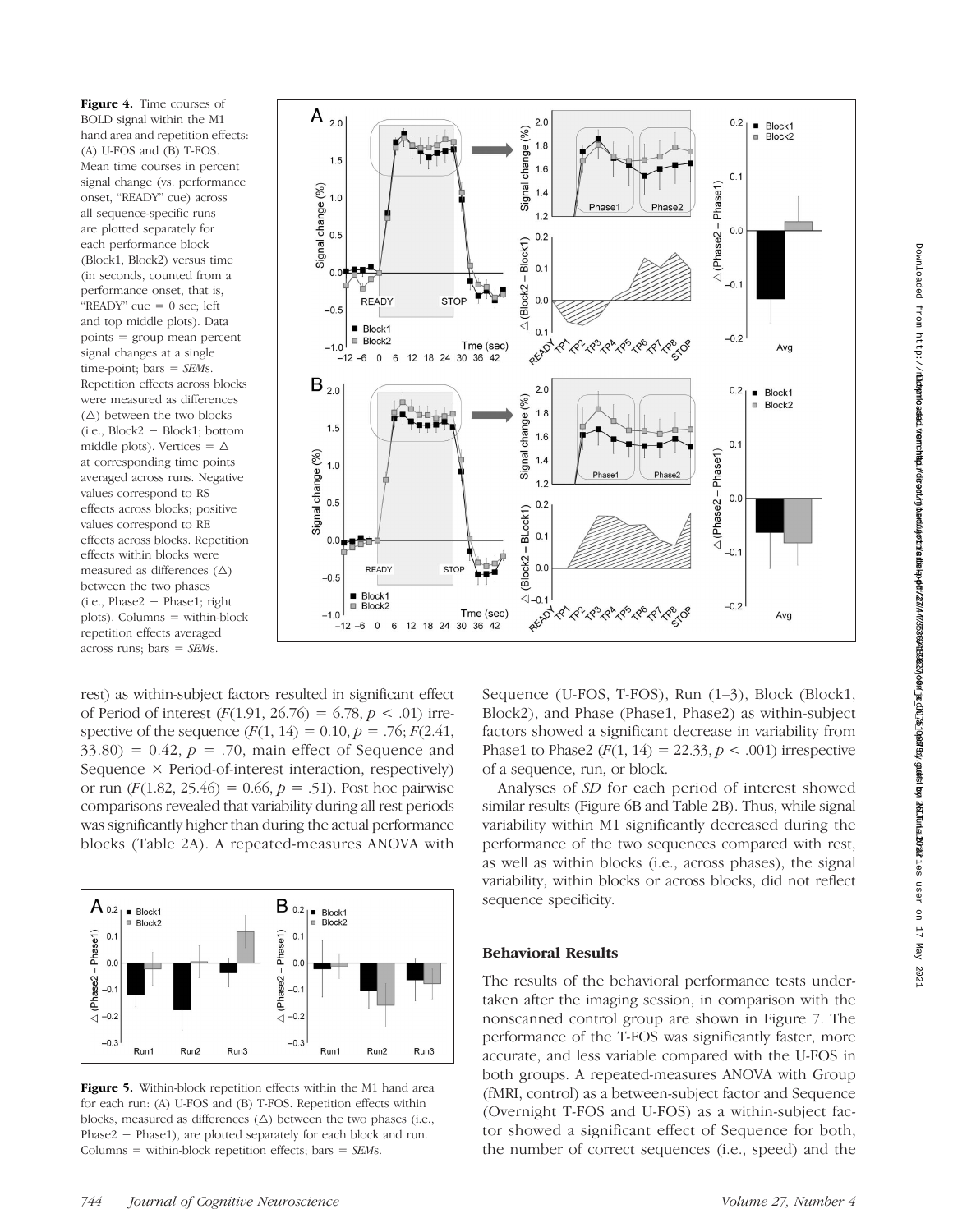Figure 4. Time courses of BOLD signal within the M1 hand area and repetition effects: (A) U-FOS and (B) T-FOS. Mean time courses in percent signal change (vs. performance onset, "READY" cue) across all sequence-specific runs are plotted separately for each performance block (Block1, Block2) versus time (in seconds, counted from a performance onset, that is, " $READV$ " cue = 0 sec; left and top middle plots). Data points = group mean percent signal changes at a single time-point; bars  $=$  SEMs. Repetition effects across blocks were measured as differences  $(\triangle)$  between the two blocks (i.e., Block2 − Block1; bottom middle plots). Vertices =  $\Delta$ at corresponding time points averaged across runs. Negative values correspond to RS effects across blocks; positive values correspond to RE effects across blocks. Repetition effects within blocks were measured as differences  $(\triangle)$ between the two phases (i.e., Phase2 − Phase1; right plots). Columns = within-block repetition effects averaged across runs; bars  $=$  SEMs.



rest) as within-subject factors resulted in significant effect of Period of interest  $(F(1.91, 26.76) = 6.78, p < .01)$  irrespective of the sequence  $(F(1, 14) = 0.10, p = .76; F(2.41,$  $33.80$ ) = 0.42,  $p = .70$ , main effect of Sequence and Sequence × Period-of-interest interaction, respectively) or run  $(F(1.82, 25.46) = 0.66, p = .51)$ . Post hoc pairwise comparisons revealed that variability during all rest periods was significantly higher than during the actual performance blocks (Table 2A). A repeated-measures ANOVA with



Figure 5. Within-block repetition effects within the M1 hand area for each run: (A) U-FOS and (B) T-FOS. Repetition effects within blocks, measured as differences  $(\Delta)$  between the two phases (i.e., Phase2 − Phase1), are plotted separately for each block and run. Columns = within-block repetition effects; bars =  $SEMs$ .

744 Iournal of Cognitive Neuroscience Volume 27, Number 4

Sequence (U-FOS, T-FOS), Run (1–3), Block (Block1, Block2), and Phase (Phase1, Phase2) as within-subject factors showed a significant decrease in variability from Phase1 to Phase2 ( $F(1, 14) = 22.33, p < .001$ ) irrespective of a sequence, run, or block.

Analyses of SD for each period of interest showed similar results (Figure 6B and Table 2B). Thus, while signal variability within M1 significantly decreased during the performance of the two sequences compared with rest, as well as within blocks (i.e., across phases), the signal variability, within blocks or across blocks, did not reflect sequence specificity.

# Behavioral Results

The results of the behavioral performance tests undertaken after the imaging session, in comparison with the nonscanned control group are shown in Figure 7. The performance of the T-FOS was significantly faster, more accurate, and less variable compared with the U-FOS in both groups. A repeated-measures ANOVA with Group (fMRI, control) as a between-subject factor and Sequence (Overnight T-FOS and U-FOS) as a within-subject factor showed a significant effect of Sequence for both, the number of correct sequences (i.e., speed) and the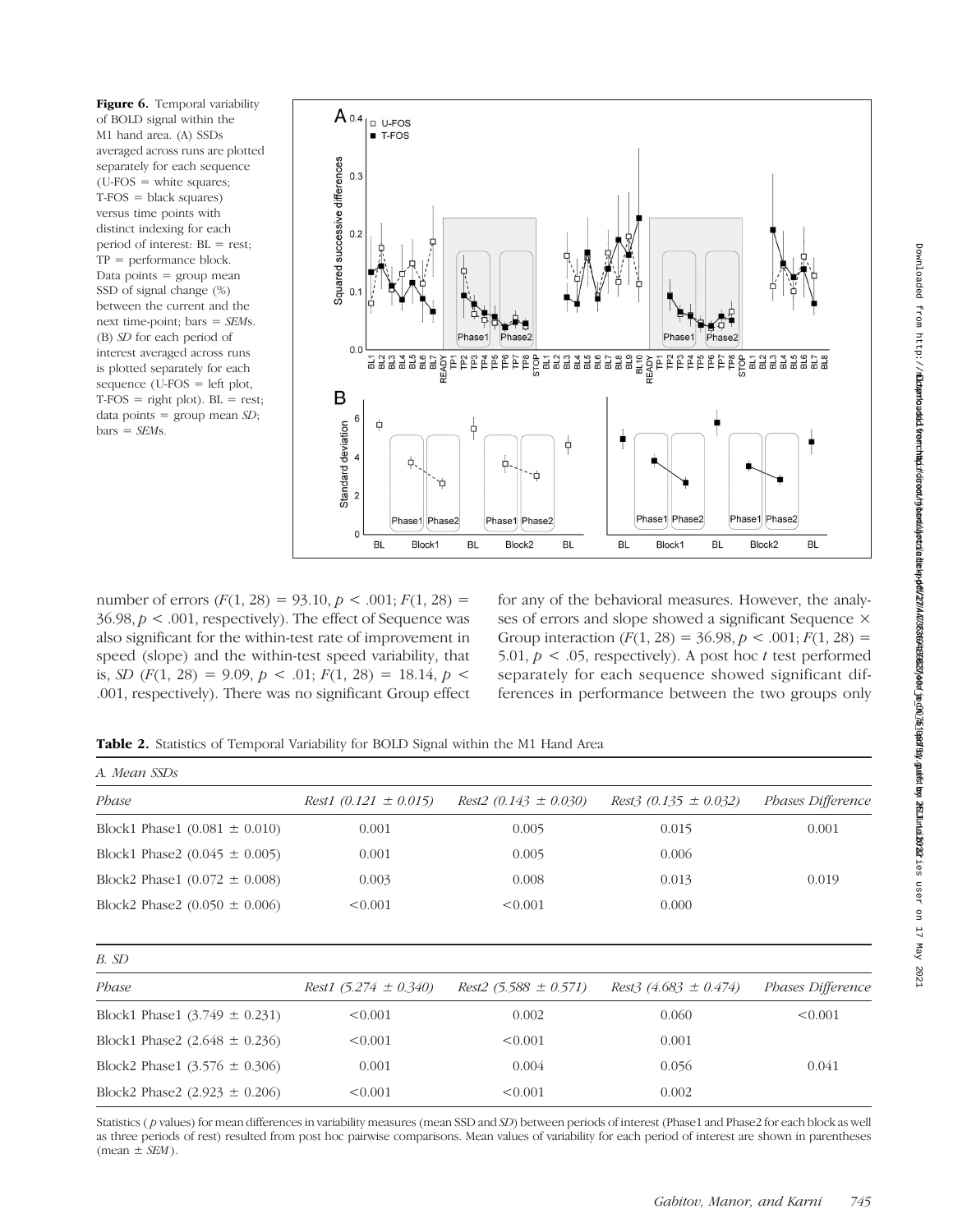Figure 6. Temporal variability of BOLD signal within the M1 hand area. (A) SSDs averaged across runs are plotted separately for each sequence  $(U-FOS = white squares;$  $T-FOS = black squares$ versus time points with distinct indexing for each period of interest: BL = rest; TP = performance block. Data points  $=$  group mean SSD of signal change (%) between the current and the next time-point; bars = SEMs. (B) SD for each period of interest averaged across runs is plotted separately for each sequence (U-FOS = left plot,  $T-FOS = right plot$ . BL = rest; data points = group mean  $SD$ ;  $bars = SEMs$ .



number of errors  $(F(1, 28) = 93.10, p < .001; F(1, 28) =$  $36.98, p < .001$ , respectively). The effect of Sequence was also significant for the within-test rate of improvement in speed (slope) and the within-test speed variability, that is, SD  $(F(1, 28) = 9.09, p < .01; F(1, 28) = 18.14, p < .01$ .001, respectively). There was no significant Group effect

for any of the behavioral measures. However, the analyses of errors and slope showed a significant Sequence × Group interaction  $(F(1, 28) = 36.98, p < .001; F(1, 28) =$ 5.01,  $p < 0.05$ , respectively). A post hoc t test performed separately for each sequence showed significant differences in performance between the two groups only

Table 2. Statistics of Temporal Variability for BOLD Signal within the M1 Hand Area

| A. Mean SSDs                      |                           |                           |                             |                   |  |
|-----------------------------------|---------------------------|---------------------------|-----------------------------|-------------------|--|
| Phase                             | Rest1 $(0.121 \pm 0.015)$ | Rest2 $(0.143 \pm 0.030)$ | Rest3 (0.135 $\pm$ 0.032)   | Phases Difference |  |
| Block1 Phase1 $(0.081 \pm 0.010)$ | 0.001                     | 0.005                     | 0.015                       | 0.001             |  |
| Block1 Phase2 $(0.045 \pm 0.005)$ | 0.001                     | 0.005                     | 0.006                       |                   |  |
| Block2 Phase1 $(0.072 \pm 0.008)$ | 0.003                     | 0.008                     | 0.013                       | 0.019             |  |
| Block2 Phase2 $(0.050 \pm 0.006)$ | < 0.001                   | < 0.001                   | 0.000                       |                   |  |
| B. SD                             |                           |                           |                             |                   |  |
| Phase                             | Rest1 $(5.274 \pm 0.340)$ | Rest2 $(5.588 \pm 0.571)$ | $Rest3$ (4.683 $\pm$ 0.474) | Phases Difference |  |
| Block1 Phase1 $(3.749 \pm 0.231)$ | < 0.001                   | 0.002                     | 0.060                       | < 0.001           |  |
| Block1 Phase2 $(2.648 \pm 0.236)$ | < 0.001                   | < 0.001                   | 0.001                       |                   |  |
| Block2 Phase1 $(3.576 \pm 0.306)$ | 0.001                     | 0.004                     | 0.056                       | 0.041             |  |
| Block2 Phase2 $(2.923 \pm 0.206)$ | < 0.001                   | < 0.001                   | 0.002                       |                   |  |

Statistics ( p values) for mean differences in variability measures (mean SSD and SD) between periods of interest (Phase1 and Phase2 for each block as well as three periods of rest) resulted from post hoc pairwise comparisons. Mean values of variability for each period of interest are shown in parentheses  $mean \pm SEM$ ).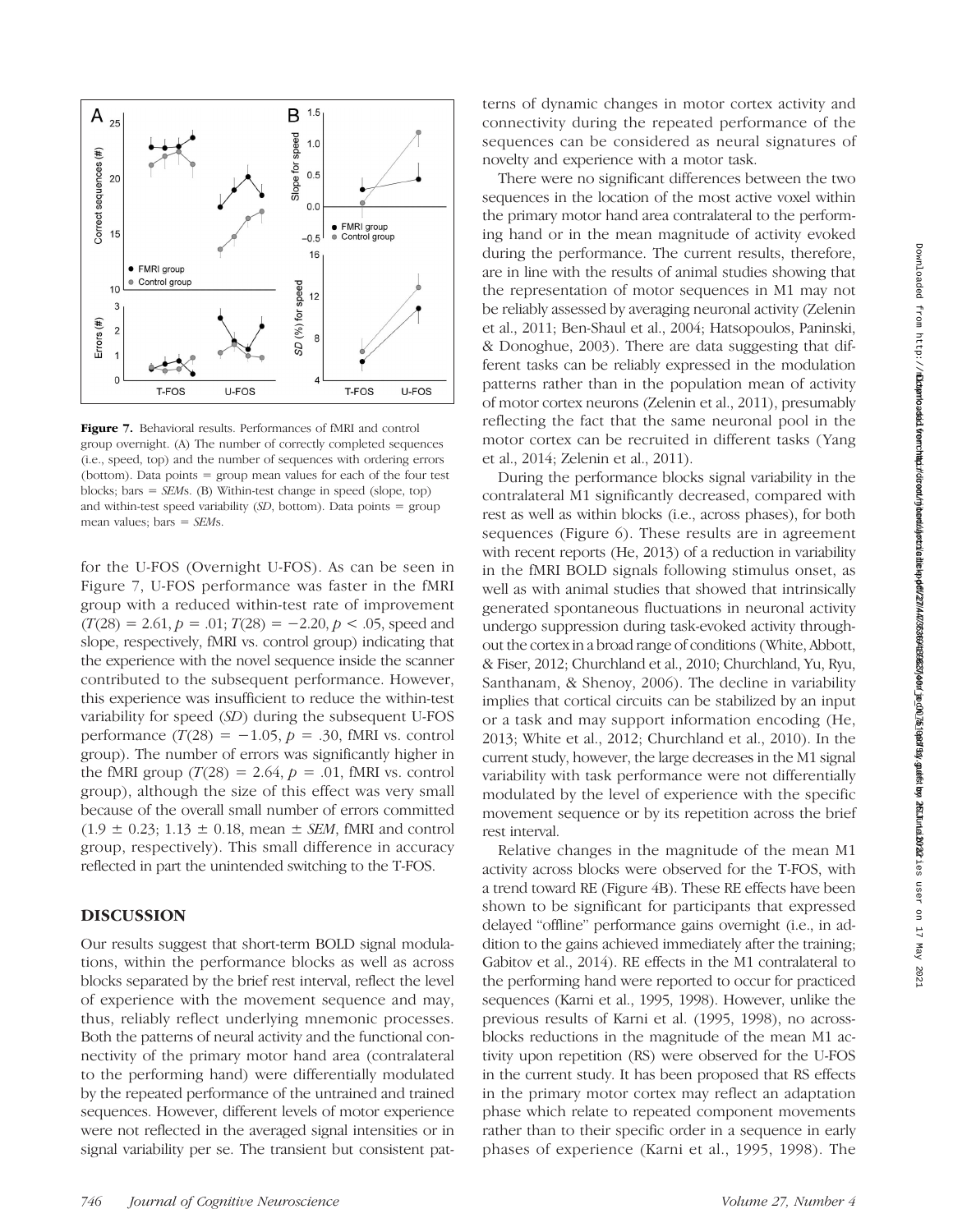

Figure 7. Behavioral results. Performances of fMRI and control group overnight. (A) The number of correctly completed sequences (i.e., speed, top) and the number of sequences with ordering errors (bottom). Data points = group mean values for each of the four test blocks; bars =  $SEMs$ . (B) Within-test change in speed (slope, top) and within-test speed variability  $(SD, bottom)$ . Data points = group mean values; bars  $=$  SEMs.

for the U-FOS (Overnight U-FOS). As can be seen in Figure 7, U-FOS performance was faster in the fMRI group with a reduced within-test rate of improvement  $(T(28) = 2.61, p = .01; T(28) = -2.20, p < .05$ , speed and slope, respectively, fMRI vs. control group) indicating that the experience with the novel sequence inside the scanner contributed to the subsequent performance. However, this experience was insufficient to reduce the within-test variability for speed (SD) during the subsequent U-FOS performance  $(T(28) = -1.05, p = .30, fMRI$  vs. control group). The number of errors was significantly higher in the fMRI group  $(T(28) = 2.64, p = .01, fMRI$  vs. control group), although the size of this effect was very small because of the overall small number of errors committed  $(1.9 \pm 0.23; 1.13 \pm 0.18, \text{ mean } \pm \text{ SEM}, \text{fMRI}$  and control group, respectively). This small difference in accuracy reflected in part the unintended switching to the T-FOS.

# DISCUSSION

Our results suggest that short-term BOLD signal modulations, within the performance blocks as well as across blocks separated by the brief rest interval, reflect the level of experience with the movement sequence and may, thus, reliably reflect underlying mnemonic processes. Both the patterns of neural activity and the functional connectivity of the primary motor hand area (contralateral to the performing hand) were differentially modulated by the repeated performance of the untrained and trained sequences. However, different levels of motor experience were not reflected in the averaged signal intensities or in signal variability per se. The transient but consistent patterns of dynamic changes in motor cortex activity and connectivity during the repeated performance of the sequences can be considered as neural signatures of novelty and experience with a motor task.

There were no significant differences between the two sequences in the location of the most active voxel within the primary motor hand area contralateral to the performing hand or in the mean magnitude of activity evoked during the performance. The current results, therefore, are in line with the results of animal studies showing that the representation of motor sequences in M1 may not be reliably assessed by averaging neuronal activity (Zelenin et al., 2011; Ben-Shaul et al., 2004; Hatsopoulos, Paninski, & Donoghue, 2003). There are data suggesting that different tasks can be reliably expressed in the modulation patterns rather than in the population mean of activity of motor cortex neurons (Zelenin et al., 2011), presumably reflecting the fact that the same neuronal pool in the motor cortex can be recruited in different tasks (Yang et al., 2014; Zelenin et al., 2011).

During the performance blocks signal variability in the contralateral M1 significantly decreased, compared with rest as well as within blocks (i.e., across phases), for both sequences (Figure 6). These results are in agreement with recent reports (He, 2013) of a reduction in variability in the fMRI BOLD signals following stimulus onset, as well as with animal studies that showed that intrinsically generated spontaneous fluctuations in neuronal activity undergo suppression during task-evoked activity throughout the cortex in a broad range of conditions (White, Abbott, & Fiser, 2012; Churchland et al., 2010; Churchland, Yu, Ryu, Santhanam, & Shenoy, 2006). The decline in variability implies that cortical circuits can be stabilized by an input or a task and may support information encoding (He, 2013; White et al., 2012; Churchland et al., 2010). In the current study, however, the large decreases in the M1 signal variability with task performance were not differentially modulated by the level of experience with the specific movement sequence or by its repetition across the brief rest interval.

Relative changes in the magnitude of the mean M1 activity across blocks were observed for the T-FOS, with a trend toward RE (Figure 4B). These RE effects have been shown to be significant for participants that expressed delayed "offline" performance gains overnight (i.e., in addition to the gains achieved immediately after the training; Gabitov et al., 2014). RE effects in the M1 contralateral to the performing hand were reported to occur for practiced sequences (Karni et al., 1995, 1998). However, unlike the previous results of Karni et al. (1995, 1998), no acrossblocks reductions in the magnitude of the mean M1 activity upon repetition (RS) were observed for the U-FOS in the current study. It has been proposed that RS effects in the primary motor cortex may reflect an adaptation phase which relate to repeated component movements rather than to their specific order in a sequence in early phases of experience (Karni et al., 1995, 1998). The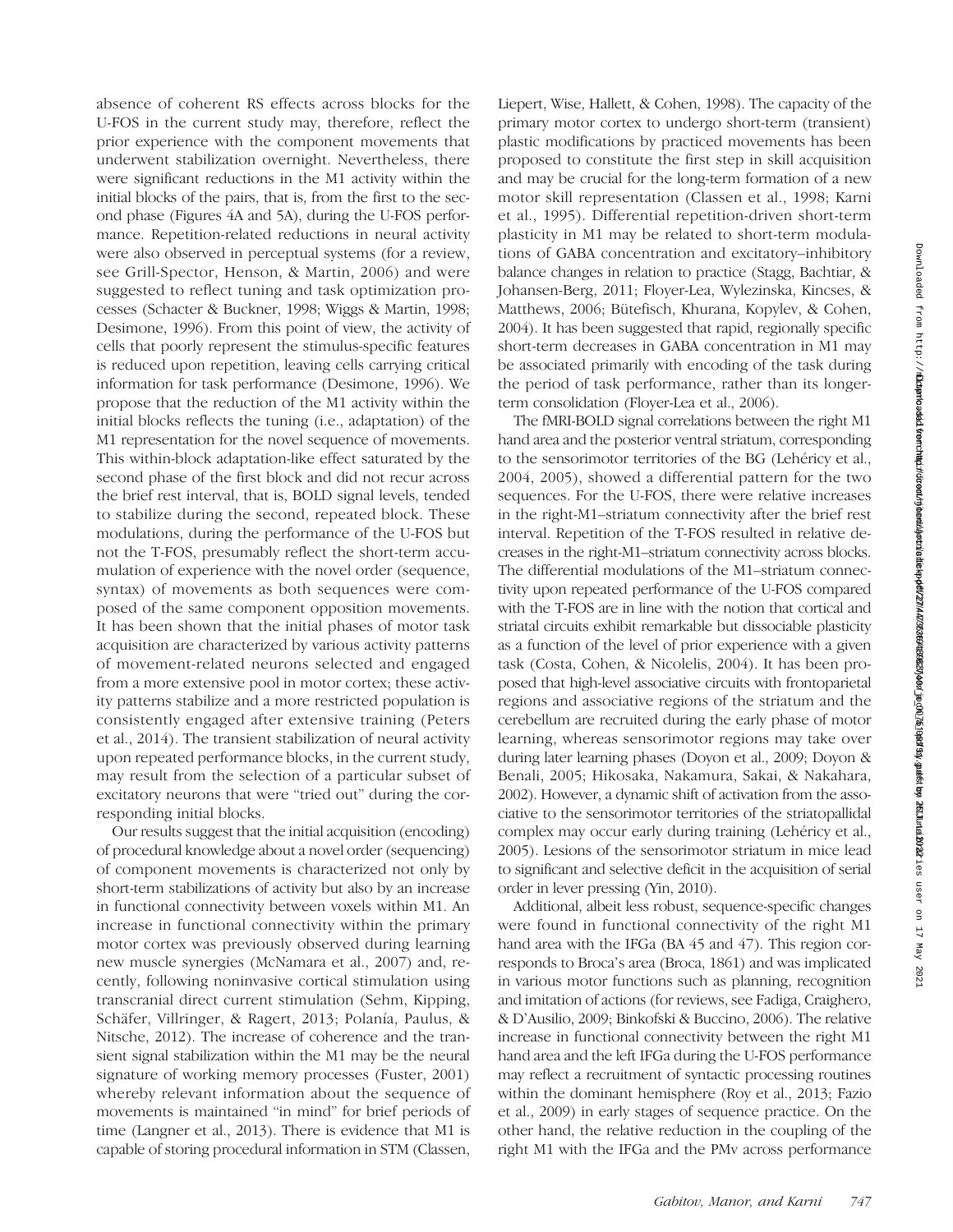absence of coherent RS effects across blocks for the U-FOS in the current study may, therefore, reflect the prior experience with the component movements that underwent stabilization overnight. Nevertheless, there were significant reductions in the M1 activity within the initial blocks of the pairs, that is, from the first to the second phase (Figures 4A and 5A), during the U-FOS performance. Repetition-related reductions in neural activity were also observed in perceptual systems (for a review, see Grill-Spector, Henson, & Martin, 2006) and were suggested to reflect tuning and task optimization processes (Schacter & Buckner, 1998; Wiggs & Martin, 1998; Desimone, 1996). From this point of view, the activity of cells that poorly represent the stimulus-specific features is reduced upon repetition, leaving cells carrying critical information for task performance (Desimone, 1996). We propose that the reduction of the M1 activity within the initial blocks reflects the tuning (i.e., adaptation) of the M1 representation for the novel sequence of movements. This within-block adaptation-like effect saturated by the second phase of the first block and did not recur across the brief rest interval, that is, BOLD signal levels, tended to stabilize during the second, repeated block. These modulations, during the performance of the U-FOS but not the T-FOS, presumably reflect the short-term accumulation of experience with the novel order (sequence, syntax) of movements as both sequences were composed of the same component opposition movements. It has been shown that the initial phases of motor task acquisition are characterized by various activity patterns of movement-related neurons selected and engaged from a more extensive pool in motor cortex; these activity patterns stabilize and a more restricted population is consistently engaged after extensive training (Peters et al., 2014). The transient stabilization of neural activity upon repeated performance blocks, in the current study, may result from the selection of a particular subset of excitatory neurons that were "tried out" during the corresponding initial blocks. Our results suggest that the initial acquisition (encoding)

of procedural knowledge about a novel order (sequencing) of component movements is characterized not only by short-term stabilizations of activity but also by an increase in functional connectivity between voxels within M1. An increase in functional connectivity within the primary motor cortex was previously observed during learning new muscle synergies (McNamara et al., 2007) and, recently, following noninvasive cortical stimulation using transcranial direct current stimulation (Sehm, Kipping, Schäfer, Villringer, & Ragert, 2013; Polanía, Paulus, & Nitsche, 2012). The increase of coherence and the transient signal stabilization within the M1 may be the neural signature of working memory processes (Fuster, 2001) whereby relevant information about the sequence of movements is maintained "in mind" for brief periods of time (Langner et al., 2013). There is evidence that M1 is capable of storing procedural information in STM (Classen,

Liepert, Wise, Hallett, & Cohen, 1998). The capacity of the primary motor cortex to undergo short-term (transient) plastic modifications by practiced movements has been proposed to constitute the first step in skill acquisition and may be crucial for the long-term formation of a new motor skill representation (Classen et al., 1998; Karni et al., 1995). Differential repetition-driven short-term plasticity in M1 may be related to short-term modulations of GABA concentration and excitatory–inhibitory balance changes in relation to practice (Stagg, Bachtiar, & Johansen-Berg, 2011; Floyer-Lea, Wylezinska, Kincses, & Matthews, 2006; Bütefisch, Khurana, Kopylev, & Cohen, 2004). It has been suggested that rapid, regionally specific short-term decreases in GABA concentration in M1 may be associated primarily with encoding of the task during the period of task performance, rather than its longerterm consolidation (Floyer-Lea et al., 2006).

The fMRI-BOLD signal correlations between the right M1 hand area and the posterior ventral striatum, corresponding to the sensorimotor territories of the BG (Lehéricy et al., 2004, 2005), showed a differential pattern for the two sequences. For the U-FOS, there were relative increases in the right-M1–striatum connectivity after the brief rest interval. Repetition of the T-FOS resulted in relative decreases in the right-M1–striatum connectivity across blocks. The differential modulations of the M1–striatum connectivity upon repeated performance of the U-FOS compared with the T-FOS are in line with the notion that cortical and striatal circuits exhibit remarkable but dissociable plasticity as a function of the level of prior experience with a given task (Costa, Cohen, & Nicolelis, 2004). It has been proposed that high-level associative circuits with frontoparietal regions and associative regions of the striatum and the cerebellum are recruited during the early phase of motor learning, whereas sensorimotor regions may take over during later learning phases (Doyon et al., 2009; Doyon & Benali, 2005; Hikosaka, Nakamura, Sakai, & Nakahara, 2002). However, a dynamic shift of activation from the associative to the sensorimotor territories of the striatopallidal complex may occur early during training (Lehéricy et al., 2005). Lesions of the sensorimotor striatum in mice lead to significant and selective deficit in the acquisition of serial order in lever pressing (Yin, 2010).

Additional, albeit less robust, sequence-specific changes were found in functional connectivity of the right M1 hand area with the IFGa (BA 45 and 47). This region corresponds to Broca's area (Broca, 1861) and was implicated in various motor functions such as planning, recognition and imitation of actions (for reviews, see Fadiga, Craighero, & D'Ausilio, 2009; Binkofski & Buccino, 2006). The relative increase in functional connectivity between the right M1 hand area and the left IFGa during the U-FOS performance may reflect a recruitment of syntactic processing routines within the dominant hemisphere (Roy et al., 2013; Fazio et al., 2009) in early stages of sequence practice. On the other hand, the relative reduction in the coupling of the right M1 with the IFGa and the PMv across performance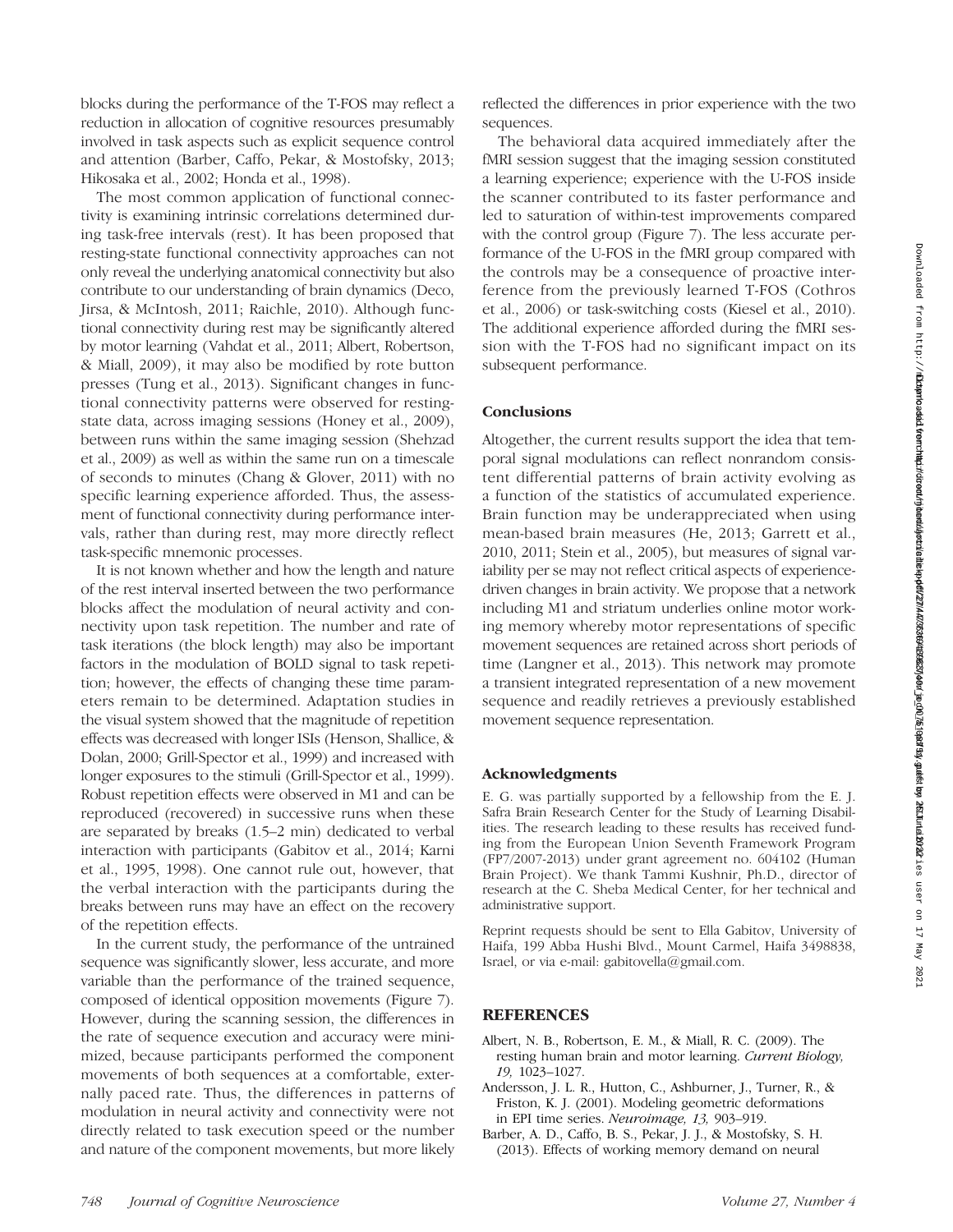blocks during the performance of the T-FOS may reflect a reduction in allocation of cognitive resources presumably involved in task aspects such as explicit sequence control and attention (Barber, Caffo, Pekar, & Mostofsky, 2013; Hikosaka et al., 2002; Honda et al., 1998).

The most common application of functional connectivity is examining intrinsic correlations determined during task-free intervals (rest). It has been proposed that resting-state functional connectivity approaches can not only reveal the underlying anatomical connectivity but also contribute to our understanding of brain dynamics (Deco, Jirsa, & McIntosh, 2011; Raichle, 2010). Although functional connectivity during rest may be significantly altered by motor learning (Vahdat et al., 2011; Albert, Robertson, & Miall, 2009), it may also be modified by rote button presses (Tung et al., 2013). Significant changes in functional connectivity patterns were observed for restingstate data, across imaging sessions (Honey et al., 2009), between runs within the same imaging session (Shehzad et al., 2009) as well as within the same run on a timescale of seconds to minutes (Chang & Glover, 2011) with no specific learning experience afforded. Thus, the assessment of functional connectivity during performance intervals, rather than during rest, may more directly reflect task-specific mnemonic processes.

It is not known whether and how the length and nature of the rest interval inserted between the two performance blocks affect the modulation of neural activity and connectivity upon task repetition. The number and rate of task iterations (the block length) may also be important factors in the modulation of BOLD signal to task repetition; however, the effects of changing these time parameters remain to be determined. Adaptation studies in the visual system showed that the magnitude of repetition effects was decreased with longer ISIs (Henson, Shallice, & Dolan, 2000; Grill-Spector et al., 1999) and increased with longer exposures to the stimuli (Grill-Spector et al., 1999). Robust repetition effects were observed in M1 and can be reproduced (recovered) in successive runs when these are separated by breaks (1.5–2 min) dedicated to verbal interaction with participants (Gabitov et al., 2014; Karni et al., 1995, 1998). One cannot rule out, however, that the verbal interaction with the participants during the breaks between runs may have an effect on the recovery of the repetition effects.

In the current study, the performance of the untrained sequence was significantly slower, less accurate, and more variable than the performance of the trained sequence, composed of identical opposition movements (Figure 7). However, during the scanning session, the differences in the rate of sequence execution and accuracy were minimized, because participants performed the component movements of both sequences at a comfortable, externally paced rate. Thus, the differences in patterns of modulation in neural activity and connectivity were not directly related to task execution speed or the number and nature of the component movements, but more likely

reflected the differences in prior experience with the two sequences.

The behavioral data acquired immediately after the fMRI session suggest that the imaging session constituted a learning experience; experience with the U-FOS inside the scanner contributed to its faster performance and led to saturation of within-test improvements compared with the control group (Figure 7). The less accurate performance of the U-FOS in the fMRI group compared with the controls may be a consequence of proactive interference from the previously learned T-FOS (Cothros et al., 2006) or task-switching costs (Kiesel et al., 2010). The additional experience afforded during the fMRI session with the T-FOS had no significant impact on its subsequent performance.

# **Conclusions**

Altogether, the current results support the idea that temporal signal modulations can reflect nonrandom consistent differential patterns of brain activity evolving as a function of the statistics of accumulated experience. Brain function may be underappreciated when using mean-based brain measures (He, 2013; Garrett et al., 2010, 2011; Stein et al., 2005), but measures of signal variability per se may not reflect critical aspects of experiencedriven changes in brain activity. We propose that a network including M1 and striatum underlies online motor working memory whereby motor representations of specific movement sequences are retained across short periods of time (Langner et al., 2013). This network may promote a transient integrated representation of a new movement sequence and readily retrieves a previously established movement sequence representation.

#### Acknowledgments

E. G. was partially supported by a fellowship from the E. J. Safra Brain Research Center for the Study of Learning Disabilities. The research leading to these results has received funding from the European Union Seventh Framework Program (FP7/2007-2013) under grant agreement no. 604102 (Human Brain Project). We thank Tammi Kushnir, Ph.D., director of research at the C. Sheba Medical Center, for her technical and administrative support.

Reprint requests should be sent to Ella Gabitov, University of Haifa, 199 Abba Hushi Blvd., Mount Carmel, Haifa 3498838, Israel, or via e-mail: gabitovella@gmail.com.

#### REFERENCES

- Albert, N. B., Robertson, E. M., & Miall, R. C. (2009). The resting human brain and motor learning. Current Biology, 19, 1023–1027.
- Andersson, J. L. R., Hutton, C., Ashburner, J., Turner, R., & Friston, K. J. (2001). Modeling geometric deformations in EPI time series. Neuroimage, 13, 903–919.
- Barber, A. D., Caffo, B. S., Pekar, J. J., & Mostofsky, S. H. (2013). Effects of working memory demand on neural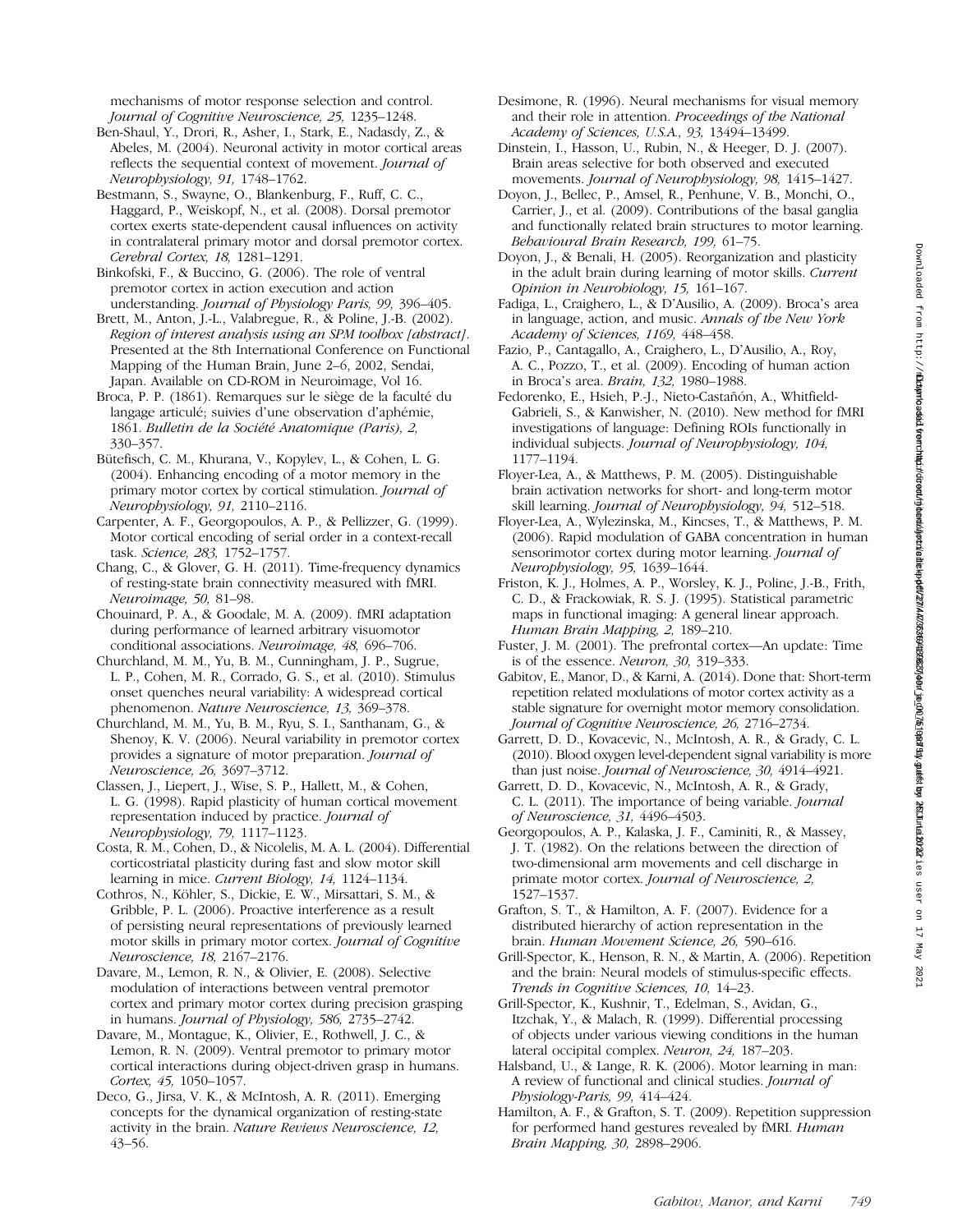mechanisms of motor response selection and control. Journal of Cognitive Neuroscience, 25, 1235–1248.

Ben-Shaul, Y., Drori, R., Asher, I., Stark, E., Nadasdy, Z., & Abeles, M. (2004). Neuronal activity in motor cortical areas reflects the sequential context of movement. Journal of Neurophysiology, 91, 1748–1762.

Bestmann, S., Swayne, O., Blankenburg, F., Ruff, C. C., Haggard, P., Weiskopf, N., et al. (2008). Dorsal premotor cortex exerts state-dependent causal influences on activity in contralateral primary motor and dorsal premotor cortex. Cerebral Cortex, 18, 1281–1291.

Binkofski, F., & Buccino, G. (2006). The role of ventral premotor cortex in action execution and action understanding. Journal of Physiology Paris, 99, 396–405.

Brett, M., Anton, J.-L., Valabregue, R., & Poline, J.-B. (2002). Region of interest analysis using an SPM toolbox [abstract]. Presented at the 8th International Conference on Functional Mapping of the Human Brain, June 2–6, 2002, Sendai, Japan. Available on CD-ROM in Neuroimage, Vol 16.

Broca, P. P. (1861). Remarques sur le siège de la faculté du langage articulé; suivies d'une observation d'aphémie, 1861. Bulletin de la Société Anatomique (Paris), 2, 330–357.

Bütefisch, C. M., Khurana, V., Kopylev, L., & Cohen, L. G. (2004). Enhancing encoding of a motor memory in the primary motor cortex by cortical stimulation. Journal of Neurophysiology, 91, 2110–2116.

Carpenter, A. F., Georgopoulos, A. P., & Pellizzer, G. (1999). Motor cortical encoding of serial order in a context-recall task. Science, 283, 1752–1757.

Chang, C., & Glover, G. H. (2011). Time-frequency dynamics of resting-state brain connectivity measured with fMRI. Neuroimage, 50, 81–98.

Chouinard, P. A., & Goodale, M. A. (2009). fMRI adaptation during performance of learned arbitrary visuomotor conditional associations. Neuroimage, 48, 696–706.

Churchland, M. M., Yu, B. M., Cunningham, J. P., Sugrue, L. P., Cohen, M. R., Corrado, G. S., et al. (2010). Stimulus onset quenches neural variability: A widespread cortical phenomenon. Nature Neuroscience, 13, 369–378.

Churchland, M. M., Yu, B. M., Ryu, S. I., Santhanam, G., & Shenoy, K. V. (2006). Neural variability in premotor cortex provides a signature of motor preparation. Journal of Neuroscience, 26, 3697–3712.

Classen, J., Liepert, J., Wise, S. P., Hallett, M., & Cohen, L. G. (1998). Rapid plasticity of human cortical movement representation induced by practice. Journal of Neurophysiology, 79, 1117–1123.

Costa, R. M., Cohen, D., & Nicolelis, M. A. L. (2004). Differential corticostriatal plasticity during fast and slow motor skill learning in mice. Current Biology, 14, 1124-1134.

Cothros, N., Köhler, S., Dickie, E. W., Mirsattari, S. M., & Gribble, P. L. (2006). Proactive interference as a result of persisting neural representations of previously learned motor skills in primary motor cortex. Journal of Cognitive Neuroscience, 18, 2167–2176.

Davare, M., Lemon, R. N., & Olivier, E. (2008). Selective modulation of interactions between ventral premotor cortex and primary motor cortex during precision grasping in humans. Journal of Physiology, 586, 2735-2742.

Davare, M., Montague, K., Olivier, E., Rothwell, J. C., & Lemon, R. N. (2009). Ventral premotor to primary motor cortical interactions during object-driven grasp in humans. Cortex, 45, 1050–1057.

Deco, G., Jirsa, V. K., & McIntosh, A. R. (2011). Emerging concepts for the dynamical organization of resting-state activity in the brain. Nature Reviews Neuroscience, 12, 43–56.

- Desimone, R. (1996). Neural mechanisms for visual memory and their role in attention. Proceedings of the National Academy of Sciences, U.S.A., 93, 13494–13499.
- Dinstein, I., Hasson, U., Rubin, N., & Heeger, D. J. (2007). Brain areas selective for both observed and executed movements. Journal of Neurophysiology, 98, 1415-1427.
- Doyon, J., Bellec, P., Amsel, R., Penhune, V. B., Monchi, O., Carrier, J., et al. (2009). Contributions of the basal ganglia and functionally related brain structures to motor learning. Behavioural Brain Research, 199, 61–75.
- Doyon, J., & Benali, H. (2005). Reorganization and plasticity in the adult brain during learning of motor skills. Current Opinion in Neurobiology, 15, 161–167.
- Fadiga, L., Craighero, L., & D'Ausilio, A. (2009). Broca's area in language, action, and music. Annals of the New York Academy of Sciences, 1169, 448–458.
- Fazio, P., Cantagallo, A., Craighero, L., D'Ausilio, A., Roy, A. C., Pozzo, T., et al. (2009). Encoding of human action in Broca's area. Brain, 132, 1980–1988.
- Fedorenko, E., Hsieh, P.-J., Nieto-Castañón, A., Whitfield-Gabrieli, S., & Kanwisher, N. (2010). New method for fMRI investigations of language: Defining ROIs functionally in individual subjects. Journal of Neurophysiology, 104, 1177–1194.
- Floyer-Lea, A., & Matthews, P. M. (2005). Distinguishable brain activation networks for short- and long-term motor skill learning. Journal of Neurophysiology, 94, 512–518.
- Floyer-Lea, A., Wylezinska, M., Kincses, T., & Matthews, P. M. (2006). Rapid modulation of GABA concentration in human sensorimotor cortex during motor learning. Journal of Neurophysiology, 95, 1639–1644.
- Friston, K. J., Holmes, A. P., Worsley, K. J., Poline, J.-B., Frith, C. D., & Frackowiak, R. S. J. (1995). Statistical parametric maps in functional imaging: A general linear approach. Human Brain Mapping, 2, 189–210.
- Fuster, J. M. (2001). The prefrontal cortex—An update: Time is of the essence. Neuron, 30, 319–333.
- Gabitov, E., Manor, D., & Karni, A. (2014). Done that: Short-term repetition related modulations of motor cortex activity as a stable signature for overnight motor memory consolidation. Journal of Cognitive Neuroscience, 26, 2716–2734.
- Garrett, D. D., Kovacevic, N., McIntosh, A. R., & Grady, C. L. (2010). Blood oxygen level-dependent signal variability is more than just noise. Journal of Neuroscience, 30, 4914–4921.
- Garrett, D. D., Kovacevic, N., McIntosh, A. R., & Grady, C. L. (2011). The importance of being variable. Journal of Neuroscience, 31, 4496–4503.
- Georgopoulos, A. P., Kalaska, J. F., Caminiti, R., & Massey, J. T. (1982). On the relations between the direction of two-dimensional arm movements and cell discharge in primate motor cortex. Journal of Neuroscience, 2, 1527–1537.
- Grafton, S. T., & Hamilton, A. F. (2007). Evidence for a distributed hierarchy of action representation in the brain. Human Movement Science, 26, 590–616.
- Grill-Spector, K., Henson, R. N., & Martin, A. (2006). Repetition and the brain: Neural models of stimulus-specific effects. Trends in Cognitive Sciences, 10, 14–23.
- Grill-Spector, K., Kushnir, T., Edelman, S., Avidan, G., Itzchak, Y., & Malach, R. (1999). Differential processing of objects under various viewing conditions in the human lateral occipital complex. Neuron, 24, 187–203.
- Halsband, U., & Lange, R. K. (2006). Motor learning in man: A review of functional and clinical studies. Journal of Physiology-Paris, 99, 414-424.
- Hamilton, A. F., & Grafton, S. T. (2009). Repetition suppression for performed hand gestures revealed by fMRI. Human Brain Mapping, 30, 2898–2906.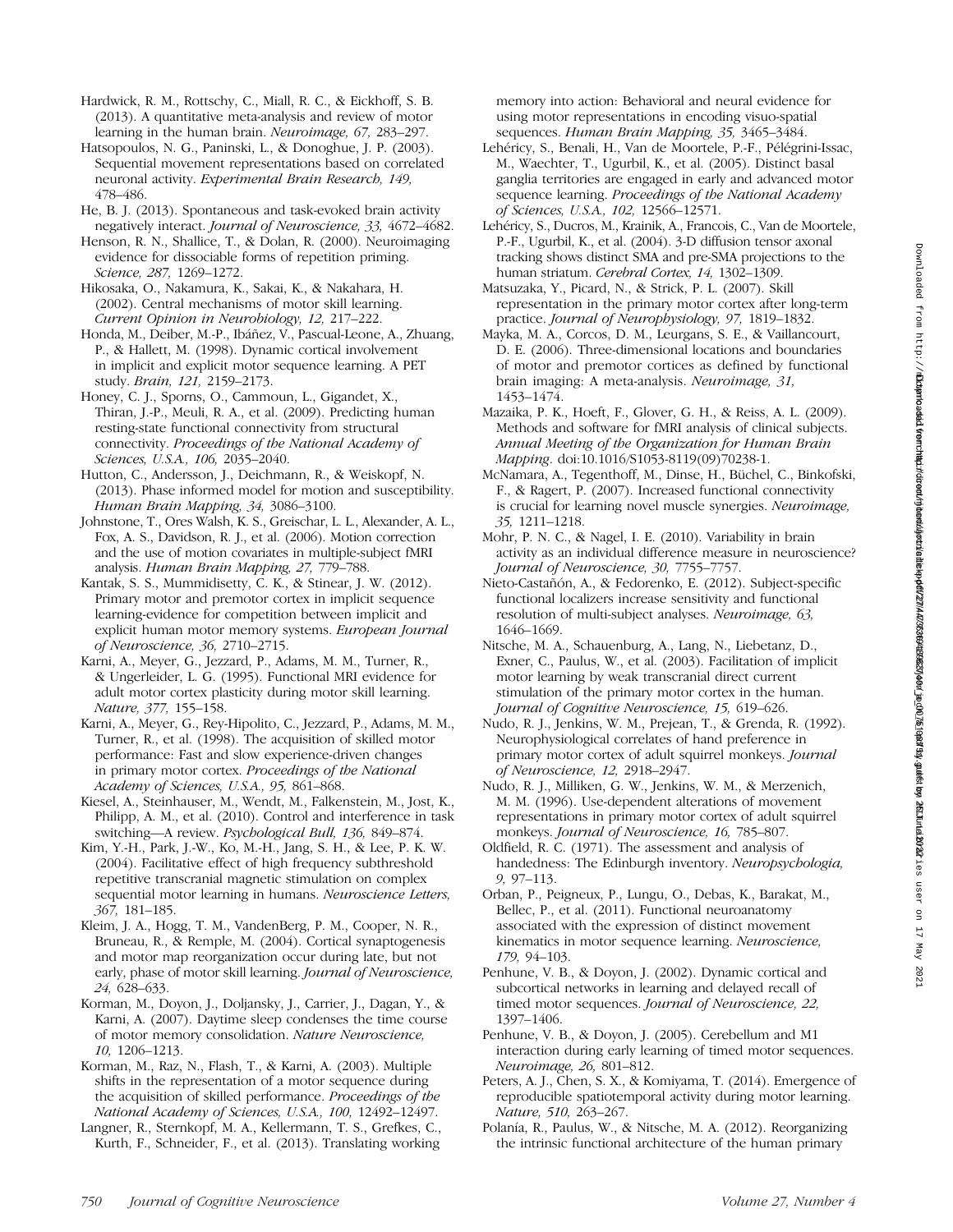Hardwick, R. M., Rottschy, C., Miall, R. C., & Eickhoff, S. B. (2013). A quantitative meta-analysis and review of motor learning in the human brain. Neuroimage, 67, 283–297.

Hatsopoulos, N. G., Paninski, L., & Donoghue, J. P. (2003). Sequential movement representations based on correlated neuronal activity. Experimental Brain Research, 149, 478–486.

He, B. J. (2013). Spontaneous and task-evoked brain activity negatively interact. Journal of Neuroscience, 33, 4672–4682.

Henson, R. N., Shallice, T., & Dolan, R. (2000). Neuroimaging evidence for dissociable forms of repetition priming. Science, 287, 1269–1272.

Hikosaka, O., Nakamura, K., Sakai, K., & Nakahara, H. (2002). Central mechanisms of motor skill learning. Current Opinion in Neurobiology, 12, 217–222.

Honda, M., Deiber, M.-P., Ibáñez, V., Pascual-Leone, A., Zhuang, P., & Hallett, M. (1998). Dynamic cortical involvement in implicit and explicit motor sequence learning. A PET study. Brain, 121, 2159–2173.

Honey, C. J., Sporns, O., Cammoun, L., Gigandet, X., Thiran, J.-P., Meuli, R. A., et al. (2009). Predicting human resting-state functional connectivity from structural connectivity. Proceedings of the National Academy of Sciences, U.S.A., 106, 2035–2040.

Hutton, C., Andersson, J., Deichmann, R., & Weiskopf, N. (2013). Phase informed model for motion and susceptibility. Human Brain Mapping, 34, 3086–3100.

Johnstone, T., Ores Walsh, K. S., Greischar, L. L., Alexander, A. L., Fox, A. S., Davidson, R. J., et al. (2006). Motion correction and the use of motion covariates in multiple-subject fMRI analysis. Human Brain Mapping, 27, 779–788.

Kantak, S. S., Mummidisetty, C. K., & Stinear, J. W. (2012). Primary motor and premotor cortex in implicit sequence learning-evidence for competition between implicit and explicit human motor memory systems. European Journal of Neuroscience, 36, 2710–2715.

Karni, A., Meyer, G., Jezzard, P., Adams, M. M., Turner, R., & Ungerleider, L. G. (1995). Functional MRI evidence for adult motor cortex plasticity during motor skill learning. Nature, 377, 155–158.

Karni, A., Meyer, G., Rey-Hipolito, C., Jezzard, P., Adams, M. M., Turner, R., et al. (1998). The acquisition of skilled motor performance: Fast and slow experience-driven changes in primary motor cortex. Proceedings of the National Academy of Sciences, U.S.A., 95, 861–868.

Kiesel, A., Steinhauser, M., Wendt, M., Falkenstein, M., Jost, K., Philipp, A. M., et al. (2010). Control and interference in task switching—A review. Psychological Bull, 136, 849–874.

Kim, Y.-H., Park, J.-W., Ko, M.-H., Jang, S. H., & Lee, P. K. W. (2004). Facilitative effect of high frequency subthreshold repetitive transcranial magnetic stimulation on complex sequential motor learning in humans. Neuroscience Letters, 367, 181–185.

Kleim, J. A., Hogg, T. M., VandenBerg, P. M., Cooper, N. R., Bruneau, R., & Remple, M. (2004). Cortical synaptogenesis and motor map reorganization occur during late, but not early, phase of motor skill learning. Journal of Neuroscience, 24, 628–633.

Korman, M., Doyon, J., Doljansky, J., Carrier, J., Dagan, Y., & Karni, A. (2007). Daytime sleep condenses the time course of motor memory consolidation. Nature Neuroscience, 10, 1206–1213.

Korman, M., Raz, N., Flash, T., & Karni, A. (2003). Multiple shifts in the representation of a motor sequence during the acquisition of skilled performance. Proceedings of the National Academy of Sciences, U.S.A., 100, 12492–12497.

Langner, R., Sternkopf, M. A., Kellermann, T. S., Grefkes, C., Kurth, F., Schneider, F., et al. (2013). Translating working memory into action: Behavioral and neural evidence for using motor representations in encoding visuo-spatial sequences. Human Brain Mapping, 35, 3465–3484.

Lehéricy, S., Benali, H., Van de Moortele, P.-F., Pélégrini-Issac, M., Waechter, T., Ugurbil, K., et al. (2005). Distinct basal ganglia territories are engaged in early and advanced motor sequence learning. Proceedings of the National Academy of Sciences, U.S.A., 102, 12566–12571.

Lehéricy, S., Ducros, M., Krainik, A., Francois, C., Van de Moortele, P.-F., Ugurbil, K., et al. (2004). 3-D diffusion tensor axonal tracking shows distinct SMA and pre-SMA projections to the human striatum. Cerebral Cortex, 14, 1302–1309.

Matsuzaka, Y., Picard, N., & Strick, P. L. (2007). Skill representation in the primary motor cortex after long-term practice. Journal of Neurophysiology, 97, 1819–1832.

Mayka, M. A., Corcos, D. M., Leurgans, S. E., & Vaillancourt, D. E. (2006). Three-dimensional locations and boundaries of motor and premotor cortices as defined by functional brain imaging: A meta-analysis. Neuroimage, 31, 1453–1474.

Mazaika, P. K., Hoeft, F., Glover, G. H., & Reiss, A. L. (2009). Methods and software for fMRI analysis of clinical subjects. Annual Meeting of the Organization for Human Brain Mapping. doi:10.1016/S1053-8119(09)70238-1.

McNamara, A., Tegenthoff, M., Dinse, H., Büchel, C., Binkofski, F., & Ragert, P. (2007). Increased functional connectivity is crucial for learning novel muscle synergies. Neuroimage, 35, 1211–1218.

Mohr, P. N. C., & Nagel, I. E. (2010). Variability in brain activity as an individual difference measure in neuroscience? Journal of Neuroscience, 30, 7755–7757.

Nieto-Castañón, A., & Fedorenko, E. (2012). Subject-specific functional localizers increase sensitivity and functional resolution of multi-subject analyses. Neuroimage, 63, 1646–1669.

Nitsche, M. A., Schauenburg, A., Lang, N., Liebetanz, D., Exner, C., Paulus, W., et al. (2003). Facilitation of implicit motor learning by weak transcranial direct current stimulation of the primary motor cortex in the human. Journal of Cognitive Neuroscience, 15, 619–626.

Nudo, R. J., Jenkins, W. M., Prejean, T., & Grenda, R. (1992). Neurophysiological correlates of hand preference in primary motor cortex of adult squirrel monkeys. Journal of Neuroscience, 12, 2918–2947.

Nudo, R. J., Milliken, G. W., Jenkins, W. M., & Merzenich, M. M. (1996). Use-dependent alterations of movement representations in primary motor cortex of adult squirrel monkeys. Journal of Neuroscience, 16, 785-807.

Oldfield, R. C. (1971). The assessment and analysis of handedness: The Edinburgh inventory. Neuropsychologia, 9, 97–113.

Orban, P., Peigneux, P., Lungu, O., Debas, K., Barakat, M., Bellec, P., et al. (2011). Functional neuroanatomy associated with the expression of distinct movement kinematics in motor sequence learning. Neuroscience, 179, 94–103.

Penhune, V. B., & Doyon, J. (2002). Dynamic cortical and subcortical networks in learning and delayed recall of timed motor sequences. Journal of Neuroscience, 22, 1397–1406.

Penhune, V. B., & Doyon, J. (2005). Cerebellum and M1 interaction during early learning of timed motor sequences. Neuroimage, 26, 801–812.

Peters, A. J., Chen, S. X., & Komiyama, T. (2014). Emergence of reproducible spatiotemporal activity during motor learning. Nature, 510, 263–267.

Polanía, R., Paulus, W., & Nitsche, M. A. (2012). Reorganizing the intrinsic functional architecture of the human primary